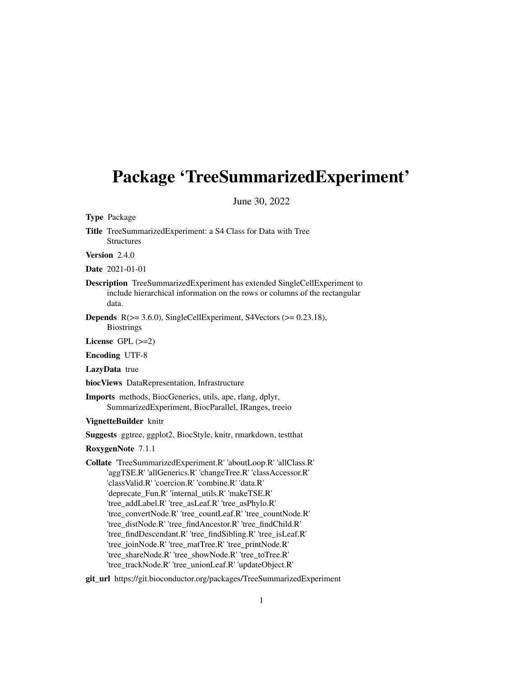# <span id="page-0-0"></span>Package 'TreeSummarizedExperiment'

June 30, 2022

Type Package

Title TreeSummarizedExperiment: a S4 Class for Data with Tree Structures

Version 2.4.0

Date 2021-01-01

- Description TreeSummarizedExperiment has extended SingleCellExperiment to include hierarchical information on the rows or columns of the rectangular data.
- **Depends**  $R$ ( $>= 3.6.0$ ), SingleCellExperiment, S4Vectors ( $>= 0.23.18$ ), **Biostrings**

License  $GPL$  ( $>=2$ )

Encoding UTF-8

LazyData true

biocViews DataRepresentation, Infrastructure

Imports methods, BiocGenerics, utils, ape, rlang, dplyr, SummarizedExperiment, BiocParallel, IRanges, treeio

VignetteBuilder knitr

Suggests ggtree, ggplot2, BiocStyle, knitr, rmarkdown, testthat

RoxygenNote 7.1.1

Collate 'TreeSummarizedExperiment.R' 'aboutLoop.R' 'allClass.R' 'aggTSE.R' 'allGenerics.R' 'changeTree.R' 'classAccessor.R' 'classValid.R' 'coercion.R' 'combine.R' 'data.R' 'deprecate\_Fun.R' 'internal\_utils.R' 'makeTSE.R' 'tree\_addLabel.R' 'tree\_asLeaf.R' 'tree\_asPhylo.R' 'tree\_convertNode.R' 'tree\_countLeaf.R' 'tree\_countNode.R' 'tree\_distNode.R' 'tree\_findAncestor.R' 'tree\_findChild.R' 'tree\_findDescendant.R' 'tree\_findSibling.R' 'tree\_isLeaf.R' 'tree\_joinNode.R' 'tree\_matTree.R' 'tree\_printNode.R' 'tree\_shareNode.R' 'tree\_showNode.R' 'tree\_toTree.R' 'tree\_trackNode.R' 'tree\_unionLeaf.R' 'updateObject.R'

git\_url https://git.bioconductor.org/packages/TreeSummarizedExperiment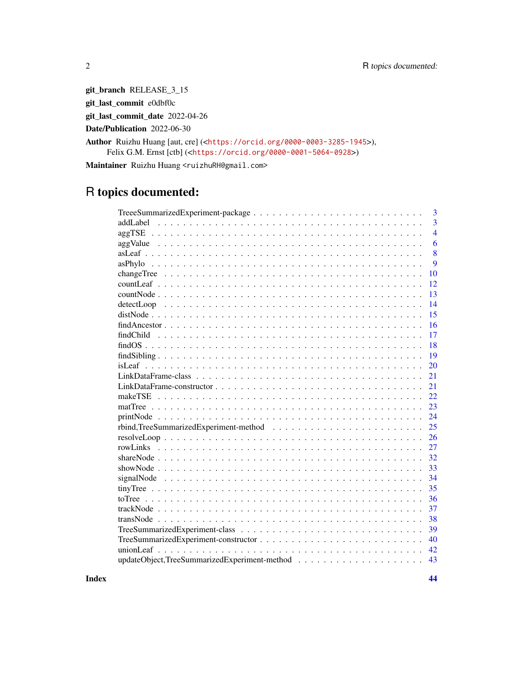git\_branch RELEASE\_3\_15

git\_last\_commit e0dbf0c

git\_last\_commit\_date 2022-04-26

Date/Publication 2022-06-30

Author Ruizhu Huang [aut, cre] (<<https://orcid.org/0000-0003-3285-1945>>), Felix G.M. Ernst [ctb] (<<https://orcid.org/0000-0001-5064-0928>>)

Maintainer Ruizhu Huang <ruizhuRH@gmail.com>

## R topics documented:

**Index** [44](#page-43-0)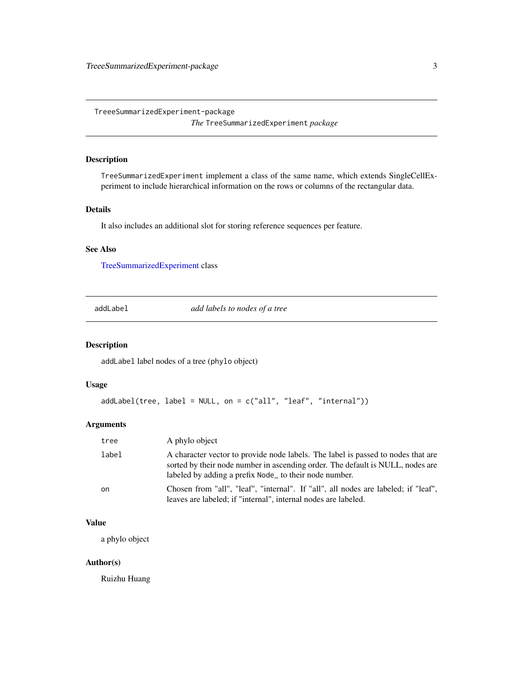<span id="page-2-0"></span>TreeeSummarizedExperiment-package

*The* TreeSummarizedExperiment *package*

## Description

TreeSummarizedExperiment implement a class of the same name, which extends SingleCellExperiment to include hierarchical information on the rows or columns of the rectangular data.

## Details

It also includes an additional slot for storing reference sequences per feature.

## See Also

[TreeSummarizedExperiment](#page-38-1) class

addLabel *add labels to nodes of a tree*

#### Description

addLabel label nodes of a tree (phylo object)

## Usage

```
addLabel(tree, label = NULL, on = c("all", "leaf", "internal"))
```
#### Arguments

| tree  | A phylo object                                                                                                                                                                                                               |
|-------|------------------------------------------------------------------------------------------------------------------------------------------------------------------------------------------------------------------------------|
| label | A character vector to provide node labels. The label is passed to nodes that are<br>sorted by their node number in ascending order. The default is NULL, nodes are<br>labeled by adding a prefix Node_ to their node number. |
| on    | Chosen from "all", "leaf", "internal". If "all", all nodes are labeled; if "leaf",<br>leaves are labeled; if "internal", internal nodes are labeled.                                                                         |

## Value

a phylo object

#### Author(s)

Ruizhu Huang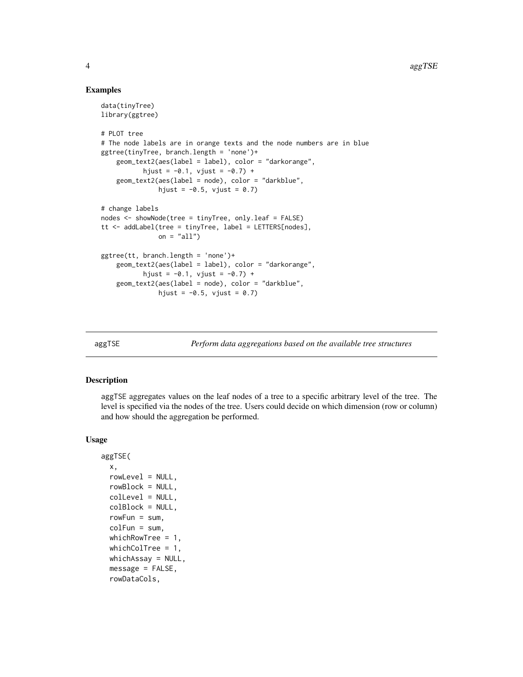#### Examples

```
data(tinyTree)
library(ggtree)
# PLOT tree
# The node labels are in orange texts and the node numbers are in blue
ggtree(tinyTree, branch.length = 'none')+
    geom_text2(aes(label = label), color = "darkorange",
          hjust = -0.1, vjust = -0.7) +
    geom_text2(aes(label = node), color = "darkblue",
              hjust = -0.5, vjust = 0.7)
# change labels
nodes <- showNode(tree = tinyTree, only.leaf = FALSE)
tt <- addLabel(tree = tinyTree, label = LETTERS[nodes],
              on = "all")ggtree(tt, branch.length = 'none')+
   geom_text2(aes(label = label), color = "darkorange",
           hjust = -0.1, vjust = -0.7) +
    geom_text2(aes(label = node), color = "darkblue",
               hjust = -0.5, vjust = 0.7)
```
<span id="page-3-1"></span>

aggTSE *Perform data aggregations based on the available tree structures*

## Description

aggTSE aggregates values on the leaf nodes of a tree to a specific arbitrary level of the tree. The level is specified via the nodes of the tree. Users could decide on which dimension (row or column) and how should the aggregation be performed.

#### Usage

```
aggTSE(
  x,
  rowLevel = NULL,
  rowBlock = NULL,
  colLevel = NULL,
  colBlock = NULL,
  rowFun = sum,
  colFun = sumwhichRowTree = 1,
  whichColTree = 1,
  whichAssay = NULL,
  message = FALSE,
  rowDataCols,
```
<span id="page-3-0"></span>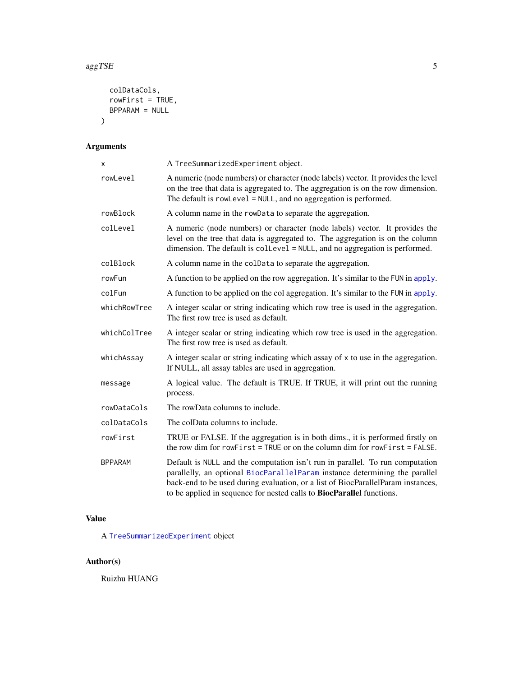#### <span id="page-4-0"></span> $\arg\text{TSE}$  5

```
colDataCols,
  rowFirst = TRUE,
 BPPARAM = NULL
\lambda
```
## Arguments

| Χ              | A TreeSummarizedExperiment object.                                                                                                                                                                                                                                                                                               |
|----------------|----------------------------------------------------------------------------------------------------------------------------------------------------------------------------------------------------------------------------------------------------------------------------------------------------------------------------------|
| rowLevel       | A numeric (node numbers) or character (node labels) vector. It provides the level<br>on the tree that data is aggregated to. The aggregation is on the row dimension.<br>The default is rowLevel = NULL, and no aggregation is performed.                                                                                        |
| rowBlock       | A column name in the rowData to separate the aggregation.                                                                                                                                                                                                                                                                        |
| colLevel       | A numeric (node numbers) or character (node labels) vector. It provides the<br>level on the tree that data is aggregated to. The aggregation is on the column<br>dimension. The default is collevel = NULL, and no aggregation is performed.                                                                                     |
| colBlock       | A column name in the colData to separate the aggregation.                                                                                                                                                                                                                                                                        |
| rowFun         | A function to be applied on the row aggregation. It's similar to the FUN in apply.                                                                                                                                                                                                                                               |
| colFun         | A function to be applied on the col aggregation. It's similar to the FUN in apply.                                                                                                                                                                                                                                               |
| whichRowTree   | A integer scalar or string indicating which row tree is used in the aggregation.<br>The first row tree is used as default.                                                                                                                                                                                                       |
| whichColTree   | A integer scalar or string indicating which row tree is used in the aggregation.<br>The first row tree is used as default.                                                                                                                                                                                                       |
| whichAssay     | A integer scalar or string indicating which assay of x to use in the aggregation.<br>If NULL, all assay tables are used in aggregation.                                                                                                                                                                                          |
| message        | A logical value. The default is TRUE. If TRUE, it will print out the running<br>process.                                                                                                                                                                                                                                         |
| rowDataCols    | The rowData columns to include.                                                                                                                                                                                                                                                                                                  |
| colDataCols    | The colData columns to include.                                                                                                                                                                                                                                                                                                  |
| rowFirst       | TRUE or FALSE. If the aggregation is in both dims., it is performed firstly on<br>the row dim for rowFirst = TRUE or on the column dim for rowFirst = FALSE.                                                                                                                                                                     |
| <b>BPPARAM</b> | Default is NULL and the computation isn't run in parallel. To run computation<br>parallelly, an optional BiocParallelParam instance determining the parallel<br>back-end to be used during evaluation, or a list of BiocParallelParam instances,<br>to be applied in sequence for nested calls to <b>BiocParallel</b> functions. |

## Value

A [TreeSummarizedExperiment](#page-39-1) object

## Author(s)

Ruizhu HUANG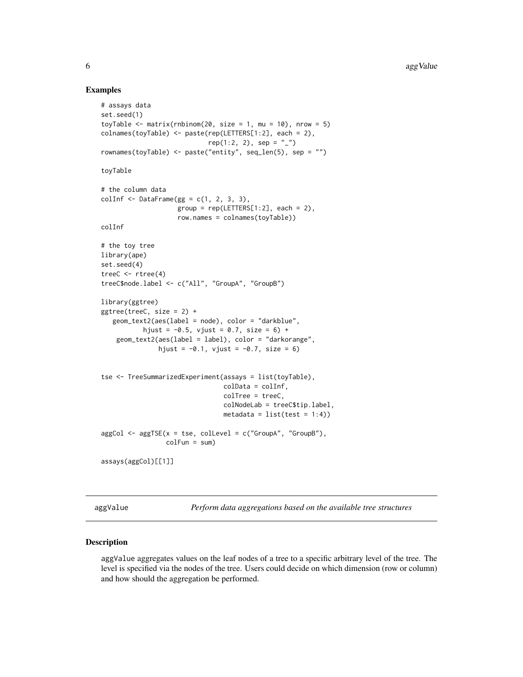#### Examples

```
# assays data
set.seed(1)
toyTable \leq matrix(rnbinom(20, size = 1, mu = 10), nrow = 5)
colnames(toyTable) <- paste(rep(LETTERS[1:2], each = 2),
                            rep(1:2, 2), sep = "_")
rownames(toyTable) <- paste("entity", seq_len(5), sep = "")
toyTable
# the column data
colInf \leq DataFrame(gg = c(1, 2, 3, 3),
                    group = rep(LETTERS[1:2], each = 2),row.names = colnames(toyTable))
colInf
# the toy tree
library(ape)
set.seed(4)
treeC <- rtree(4)
treeC$node.label <- c("All", "GroupA", "GroupB")
library(ggtree)
ggtree(treeC, size = 2) +
   geom_text2(aes(label = node), color = "darkblue",
           hjust = -0.5, vjust = 0.7, size = 6) +
    geom_text2(aes(label = label), color = "darkorange",
               hjust = -0.1, vjust = -0.7, size = 6)
tse <- TreeSummarizedExperiment(assays = list(toyTable),
                                colData = colInf,
                                 colTree = treeC,
                                 colNodeLab = treeC$tip.label,
                                 metadata = list(test = 1:4))aggCol \leq -agg \leq (x = tse, colLevel = c("GroupA", "GroupB"),colFun = sum)
assays(aggCol)[[1]]
```
aggValue *Perform data aggregations based on the available tree structures*

#### Description

aggValue aggregates values on the leaf nodes of a tree to a specific arbitrary level of the tree. The level is specified via the nodes of the tree. Users could decide on which dimension (row or column) and how should the aggregation be performed.

<span id="page-5-0"></span>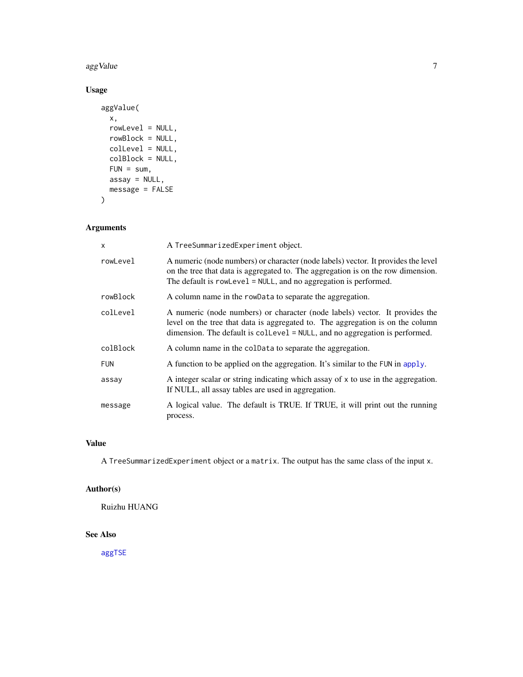<span id="page-6-0"></span> $\log$ Value 7

## Usage

```
aggValue(
 x,
 rowLevel = NULL,
 rowBlock = NULL,
 colLevel = NULL,
 colBlock = NULL,
 FUN = sum,assay = NULL,message = FALSE
)
```
## Arguments

| X          | A TreeSummarizedExperiment object.                                                                                                                                                                                                                              |
|------------|-----------------------------------------------------------------------------------------------------------------------------------------------------------------------------------------------------------------------------------------------------------------|
| rowLevel   | A numeric (node numbers) or character (node labels) vector. It provides the level<br>on the tree that data is aggregated to. The aggregation is on the row dimension.<br>The default is rowLevel = NULL, and no aggregation is performed.                       |
| rowBlock   | A column name in the rowData to separate the aggregation.                                                                                                                                                                                                       |
| colLevel   | A numeric (node numbers) or character (node labels) vector. It provides the<br>level on the tree that data is aggregated to. The aggregation is on the column<br>dimension. The default is $\text{collective} = \text{NULL}$ , and no aggregation is performed. |
| colBlock   | A column name in the colData to separate the aggregation.                                                                                                                                                                                                       |
| <b>FUN</b> | A function to be applied on the aggregation. It's similar to the FUN in apply.                                                                                                                                                                                  |
| assay      | A integer scalar or string indicating which assay of x to use in the aggregation.<br>If NULL, all assay tables are used in aggregation.                                                                                                                         |
| message    | A logical value. The default is TRUE. If TRUE, it will print out the running<br>process.                                                                                                                                                                        |

## Value

A TreeSummarizedExperiment object or a matrix. The output has the same class of the input x.

## Author(s)

Ruizhu HUANG

## See Also

[aggTSE](#page-3-1)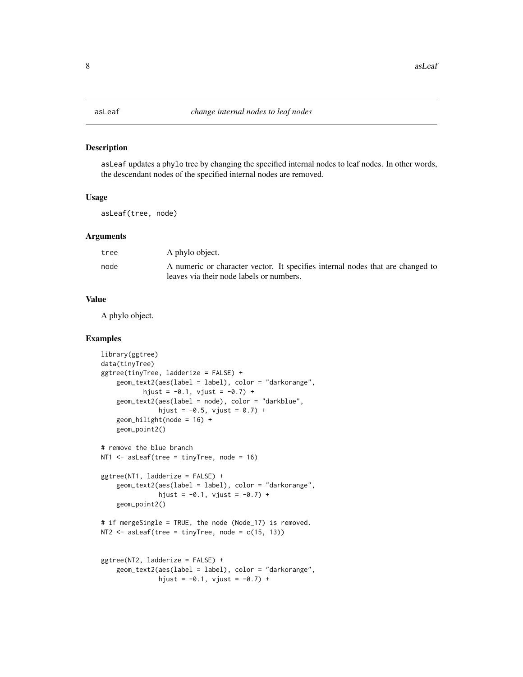<span id="page-7-0"></span>

asLeaf updates a phylo tree by changing the specified internal nodes to leaf nodes. In other words, the descendant nodes of the specified internal nodes are removed.

## Usage

asLeaf(tree, node)

#### Arguments

| tree | A phylo object.                                                                |
|------|--------------------------------------------------------------------------------|
| node | A numeric or character vector. It specifies internal nodes that are changed to |
|      | leaves via their node labels or numbers.                                       |

#### Value

A phylo object.

```
library(ggtree)
data(tinyTree)
ggtree(tinyTree, ladderize = FALSE) +
    geom_text2(aes(label = label), color = "darkorange",
           hjust = -0.1, vjust = -0.7) +
    geom_text2(aes(label = node), color = "darkblue",
               hjust = -0.5, vjust = 0.7) +
    geom_hilight(node = 16) +
    geom_point2()
# remove the blue branch
NT1 <- asLeaf(tree = tinyTree, node = 16)
ggtree(NT1, ladderize = FALSE) +
    geom_text2(aes(label = label), color = "darkorange",
               hjust = -0.1, vjust = -0.7) +
    geom_point2()
# if mergeSingle = TRUE, the node (Node_17) is removed.
NT2 \leq asLeaf(tree = tinyTree, node = c(15, 13))
ggtree(NT2, ladderize = FALSE) +
   geom_text2(aes(label = label), color = "darkorange",
               hjust = -0.1, vjust = -0.7) +
```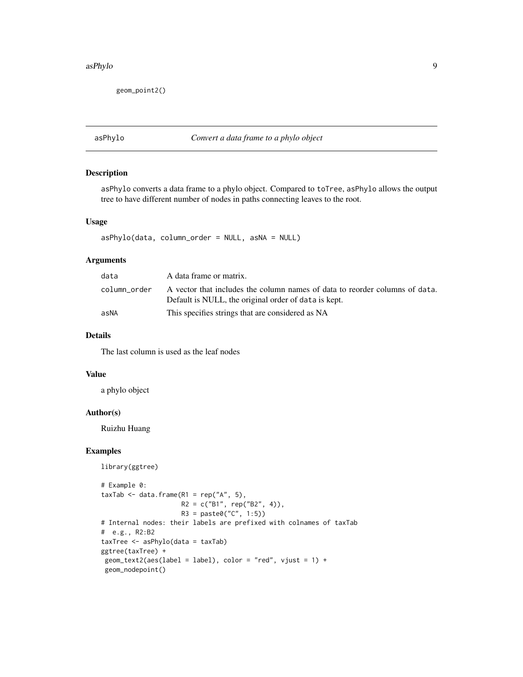#### <span id="page-8-0"></span>asPhylo 9

geom\_point2()

#### asPhylo *Convert a data frame to a phylo object*

## Description

asPhylo converts a data frame to a phylo object. Compared to toTree, asPhylo allows the output tree to have different number of nodes in paths connecting leaves to the root.

## Usage

asPhylo(data, column\_order = NULL, asNA = NULL)

## Arguments

| data         | A data frame or matrix.                                                                                                             |
|--------------|-------------------------------------------------------------------------------------------------------------------------------------|
| column order | A vector that includes the column names of data to reorder columns of data.<br>Default is NULL, the original order of data is kept. |
| asNA         | This specifies strings that are considered as NA                                                                                    |

## Details

The last column is used as the leaf nodes

#### Value

a phylo object

#### Author(s)

Ruizhu Huang

```
library(ggtree)
```

```
# Example 0:
taxTab <- data.frame(R1 = rep("A", 5),R2 = c("B1", rep("B2", 4)),R3 = paste0("C", 1:5))# Internal nodes: their labels are prefixed with colnames of taxTab
# e.g., R2:B2
taxTree <- asPhylo(data = taxTab)
ggtree(taxTree) +
geom_text2(aes(label = label), color = "red", vjust = 1) +
geom_nodepoint()
```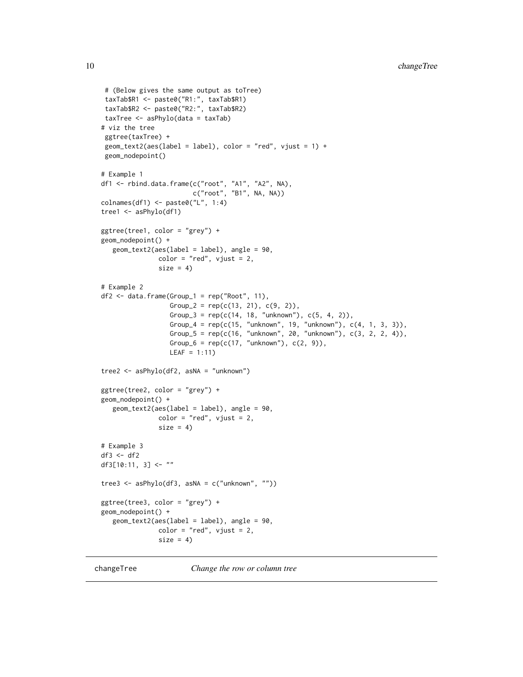```
# (Below gives the same output as toTree)
 taxTab$R1 <- paste0("R1:", taxTab$R1)
 taxTab$R2 <- paste0("R2:", taxTab$R2)
 taxTree <- asPhylo(data = taxTab)
# viz the tree
 ggtree(taxTree) +
 geom\_text2(aes(label = label), color = "red", vjust = 1) +geom_nodepoint()
# Example 1
df1 <- rbind.data.frame(c("root", "A1", "A2", NA),
                         c("root", "B1", NA, NA))
\text{colnames}(df1) \leftarrow \text{paste0("L", 1:4)}tree1 <- asPhylo(df1)
ggtree(tree1, color = "grey") +
geom_nodepoint() +
   geom_text2(aes(label = label), angle = 90,
               color = "red", vjust = 2,size = 4)
# Example 2
df2 <- data.frame(Group_1 = rep("Root", 11),
                  Group_2 = rep(c(13, 21), c(9, 2)),Group_3 = rep(c(14, 18, "unknown"), c(5, 4, 2)),Group_4 = rep(c(15, "unknown", 19, "unknown"), c(4, 1, 3, 3)),
                   Group_5 = rep(c(16, "unknown", 20, "unknown"), c(3, 2, 2, 4)),Group_6 = rep(c(17, "unknown"), c(2, 9)),LEAF = 1:11)
tree2 <- asPhylo(df2, asNA = "unknown")
ggtree(tree2, color = "grey") +
geom_nodepoint() +
   geom_text2(aes(label = label), angle = 90,
               color = "red", vjust = 2,size = 4)
# Example 3
df3 < - df2df3[10:11, 3] \leq - ""
tree3 <- asPhylo(df3, asNA = c("unknown", ""))
ggtree(tree3, color = "grey") +
geom_nodepoint() +
   geom_text2(aes(label = label), angle = 90,
               color = "red", vjust = 2,size = 4)
```
changeTree *Change the row or column tree*

<span id="page-9-0"></span>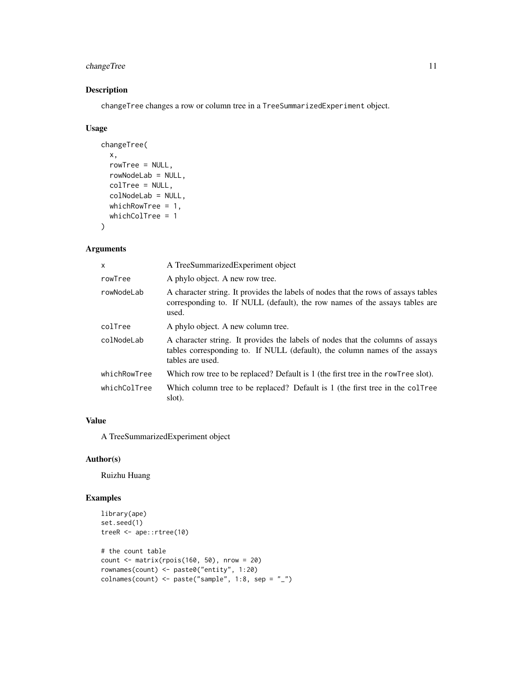## changeTree 11

## Description

changeTree changes a row or column tree in a TreeSummarizedExperiment object.

#### Usage

```
changeTree(
  x,
  rowTree = NULL,
  rowNodeLab = NULL,
  colTree = NULL,
  colNodeLab = NULL,
  whichRowTree = 1,
  whichColTree = 1
\mathcal{L}
```
## Arguments

| x            | A TreeSummarizedExperiment object                                                                                                                                                |
|--------------|----------------------------------------------------------------------------------------------------------------------------------------------------------------------------------|
| rowTree      | A phylo object. A new row tree.                                                                                                                                                  |
| rowNodeLab   | A character string. It provides the labels of nodes that the rows of assays tables<br>corresponding to. If NULL (default), the row names of the assays tables are<br>used.       |
| colTree      | A phylo object. A new column tree.                                                                                                                                               |
| colNodeLab   | A character string. It provides the labels of nodes that the columns of assays<br>tables corresponding to. If NULL (default), the column names of the assays<br>tables are used. |
| whichRowTree | Which row tree to be replaced? Default is 1 (the first tree in the rowTree slot).                                                                                                |
| whichColTree | Which column tree to be replaced? Default is 1 (the first tree in the collective<br>slot).                                                                                       |

#### Value

A TreeSummarizedExperiment object

## Author(s)

Ruizhu Huang

```
library(ape)
set.seed(1)
treeR <- ape::rtree(10)
# the count table
count <- matrix(rpois(160, 50), nrow = 20)
rownames(count) <- paste0("entity", 1:20)
colnames(count) <- paste("sample", 1:8, sep = "_")
```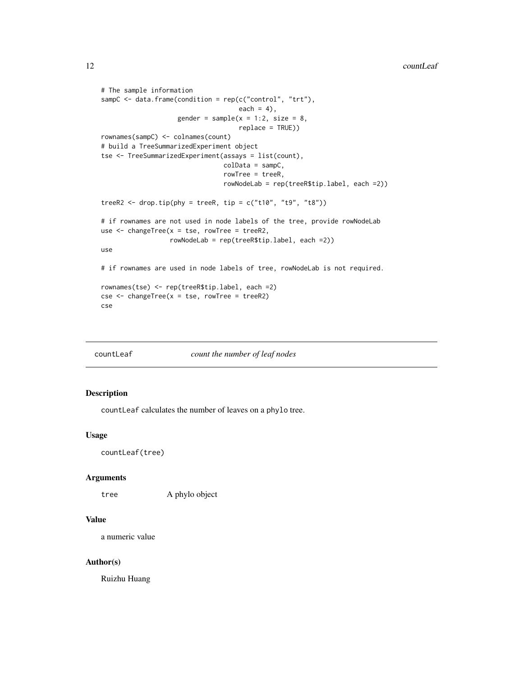```
# The sample information
sampC <- data.frame(condition = rep(c("control", "trt"),
                                    each = 4),
                    gender = sample(x = 1:2, size = 8,replace = TRUE))
rownames(sampC) <- colnames(count)
# build a TreeSummarizedExperiment object
tse <- TreeSummarizedExperiment(assays = list(count),
                                colData = sampC,
                                rowTree = treeR,
                                rowNodeLab = rep(treeR$tip.label, each =2))
treeR2 <- drop.tip(phy = treeR, tip = c("t10", "t9", "t8"))# if rownames are not used in node labels of the tree, provide rowNodeLab
use \leq changeTree(x = tse, rowTree = treeR2,
                 rowNodeLab = rep(treeR$tip.label, each =2))
use
# if rownames are used in node labels of tree, rowNodeLab is not required.
rownames(tse) <- rep(treeR$tip.label, each =2)
cse < - changeTree(x = tse, rowTree = treeR2)cse
```
countLeaf *count the number of leaf nodes*

## Description

countLeaf calculates the number of leaves on a phylo tree.

## Usage

```
countLeaf(tree)
```
#### **Arguments**

tree A phylo object

## Value

a numeric value

#### Author(s)

Ruizhu Huang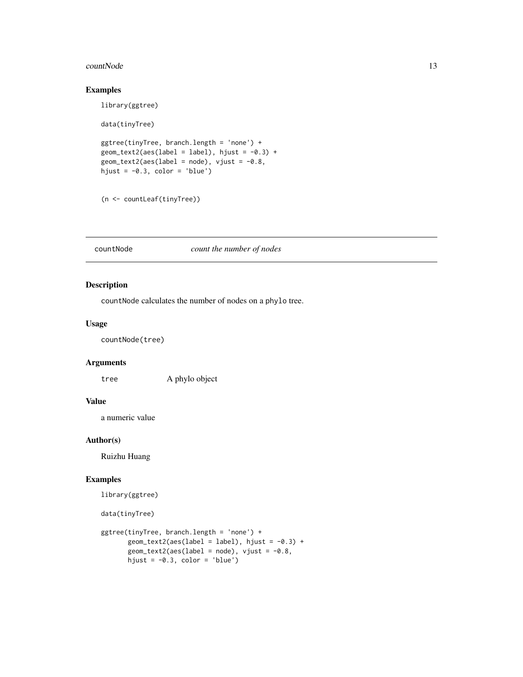#### <span id="page-12-0"></span>countNode 13

## Examples

```
library(ggtree)
data(tinyTree)
ggtree(tinyTree, branch.length = 'none') +
geom\_text2(ase(label = label), hjust = -0.3) +geom_text2(aes(label = node), vjust = -0.8,
hjust = -0.3, color = 'blue')
```

```
(n <- countLeaf(tinyTree))
```
countNode *count the number of nodes*

## Description

countNode calculates the number of nodes on a phylo tree.

## Usage

countNode(tree)

#### Arguments

tree A phylo object

## Value

a numeric value

#### Author(s)

Ruizhu Huang

```
library(ggtree)
```

```
data(tinyTree)
```

```
ggtree(tinyTree, branch.length = 'none') +
      geom_text2(aes(label = label), hjust = -0.3) +geom\_text2(ase(label = node), vjust = -0.8,hjust = -0.3, color = 'blue')
```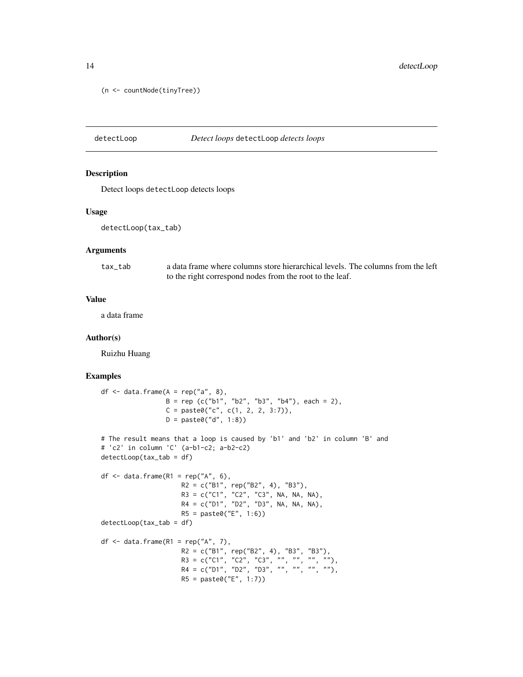```
(n <- countNode(tinyTree))
```

```
detectLoop Detect loops detectLoop detects loops
```
Detect loops detectLoop detects loops

#### Usage

detectLoop(tax\_tab)

#### Arguments

tax\_tab a data frame where columns store hierarchical levels. The columns from the left to the right correspond nodes from the root to the leaf.

#### Value

a data frame

#### Author(s)

Ruizhu Huang

```
df \leq data.frame(A = rep("a", 8),B = rep (c("b1", "b2", "b3", "b4"), each = 2),C = paste0("c", c(1, 2, 2, 3:7)),D = paste0("d", 1:8))
# The result means that a loop is caused by 'b1' and 'b2' in column 'B' and
# 'c2' in column 'C' (a-b1-c2; a-b2-c2)
detectLoop(tax_tab = df)
df \leq -\text{data}.\text{frame(R1 = rep("A", 6)},R2 = c("B1", rep("B2", 4), "B3"),
                      R3 = c("C1", "C2", "C3", NA, NA, NA),
                      R4 = c("D1", "D2", "D3", NA, NA, NA),
                     R5 = paste0("E", 1:6))
detectLoop(tax_tab = df)
df \leq data.frame(R1 = rep("A", 7),
                      R2 = c("B1", rep("B2", 4), "B3", "B3"),
                      R3 = c("C1", "C2", "C3", "", "", "", "", "R4 = c("D1", "D2", "D3", "", "", "", ""),
                     R5 = paste0("E", 1:7))
```
<span id="page-13-0"></span>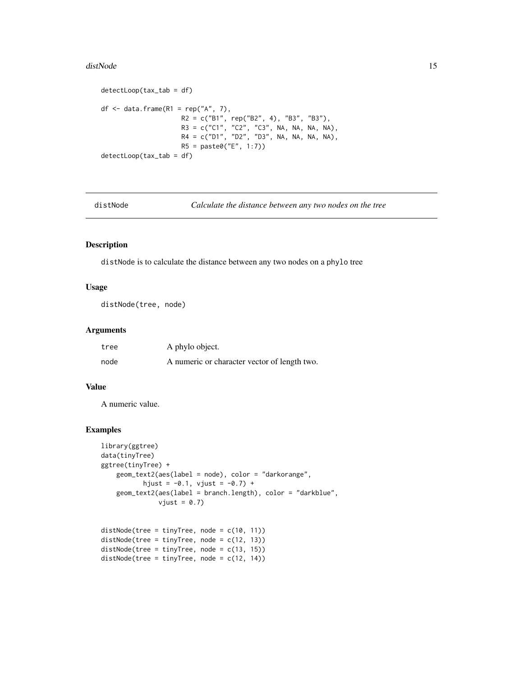#### <span id="page-14-0"></span>distNode 15

```
detectLoop(tax_tab = df)
df \leq data.frame(R1 = rep("A", 7),
                     R2 = c("B1", rep("B2", 4), "B3", "B3"),R3 = c("C1", "C2", "C3", NA, NA, NA, NA),
                     R4 = c("D1", "D2", "D3", NA, NA, NA, NA),
                     R5 = paste0("E", 1:7))
detectLoop(tax_tab = df)
```
distNode *Calculate the distance between any two nodes on the tree*

## Description

distNode is to calculate the distance between any two nodes on a phylo tree

## Usage

distNode(tree, node)

## Arguments

| tree | A phylo object.                              |
|------|----------------------------------------------|
| node | A numeric or character vector of length two. |

## Value

A numeric value.

```
library(ggtree)
data(tinyTree)
ggtree(tinyTree) +
   geom_text2(aes(label = node), color = "darkorange",
           hjust = -0.1, vjust = -0.7) +
    geom_text2(aes(label = branch.length), color = "darkblue",
              vjust = 0.7)
```

```
distNode(tree = tinyTree, node = c(10, 11))
distNode(tree = tinyTree, node = c(12, 13))
distNode(tree = tinyTree, node = c(13, 15))
distNode(tree = tinyTree, node = c(12, 14))
```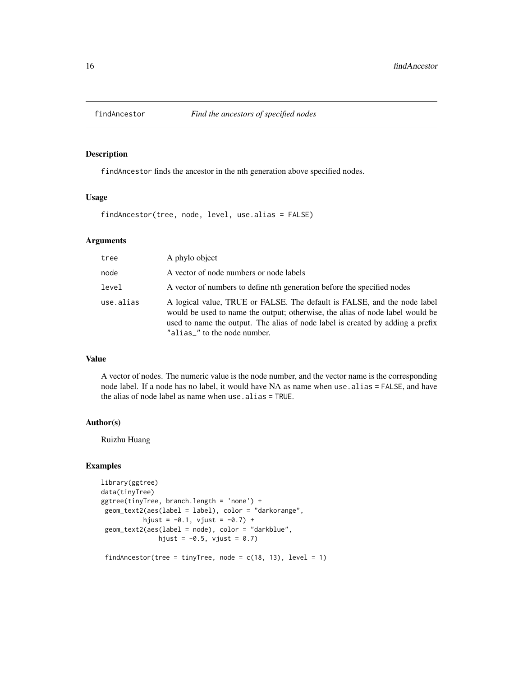<span id="page-15-0"></span>

findAncestor finds the ancestor in the nth generation above specified nodes.

## Usage

findAncestor(tree, node, level, use.alias = FALSE)

## Arguments

| tree      | A phylo object                                                                                                                                                                                                                                                              |
|-----------|-----------------------------------------------------------------------------------------------------------------------------------------------------------------------------------------------------------------------------------------------------------------------------|
| node      | A vector of node numbers or node labels                                                                                                                                                                                                                                     |
| level     | A vector of numbers to define nth generation before the specified nodes                                                                                                                                                                                                     |
| use.alias | A logical value, TRUE or FALSE. The default is FALSE, and the node label<br>would be used to name the output; otherwise, the alias of node label would be<br>used to name the output. The alias of node label is created by adding a prefix<br>"alias_" to the node number. |

## Value

A vector of nodes. The numeric value is the node number, and the vector name is the corresponding node label. If a node has no label, it would have NA as name when use alias = FALSE, and have the alias of node label as name when use.alias = TRUE.

#### Author(s)

Ruizhu Huang

```
library(ggtree)
data(tinyTree)
ggtree(tinyTree, branch.length = 'none') +
geom_text2(aes(label = label), color = "darkorange",
           hjust = -0.1, vjust = -0.7) +
geom_text2(aes(label = node), color = "darkblue",
              hjust = -0.5, vjust = 0.7)
```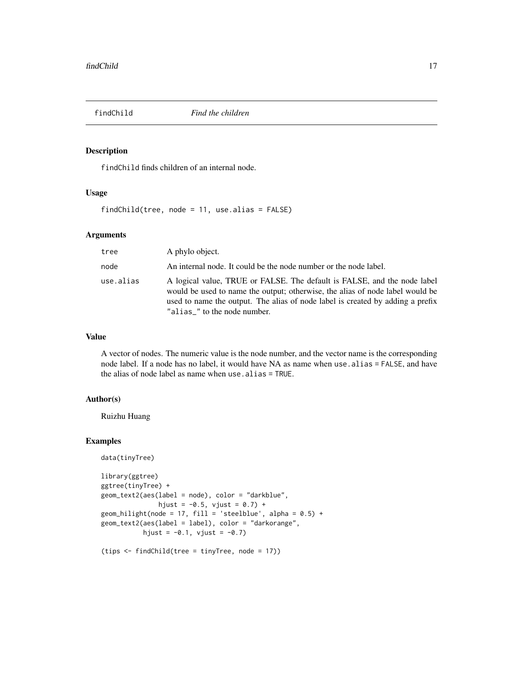<span id="page-16-0"></span>

findChild finds children of an internal node.

## Usage

findChild(tree, node = 11, use.alias = FALSE)

## Arguments

| tree      | A phylo object.                                                                                                                                                                                                                                                             |
|-----------|-----------------------------------------------------------------------------------------------------------------------------------------------------------------------------------------------------------------------------------------------------------------------------|
| node      | An internal node. It could be the node number or the node label.                                                                                                                                                                                                            |
| use.alias | A logical value, TRUE or FALSE. The default is FALSE, and the node label<br>would be used to name the output; otherwise, the alias of node label would be<br>used to name the output. The alias of node label is created by adding a prefix<br>"alias_" to the node number. |

## Value

A vector of nodes. The numeric value is the node number, and the vector name is the corresponding node label. If a node has no label, it would have NA as name when use alias = FALSE, and have the alias of node label as name when use.alias = TRUE.

## Author(s)

Ruizhu Huang

```
data(tinyTree)
library(ggtree)
ggtree(tinyTree) +
geom_text2(aes(label = node), color = "darkblue",
              hjust = -0.5, vjust = 0.7) +
geom_hilight(node = 17, fill = 'steelblue', alpha = 0.5) +
geom_text2(aes(label = label), color = "darkorange",
          hjust = -0.1, vjust = -0.7)
```

```
(tips <- findChild(tree = tinyTree, node = 17))
```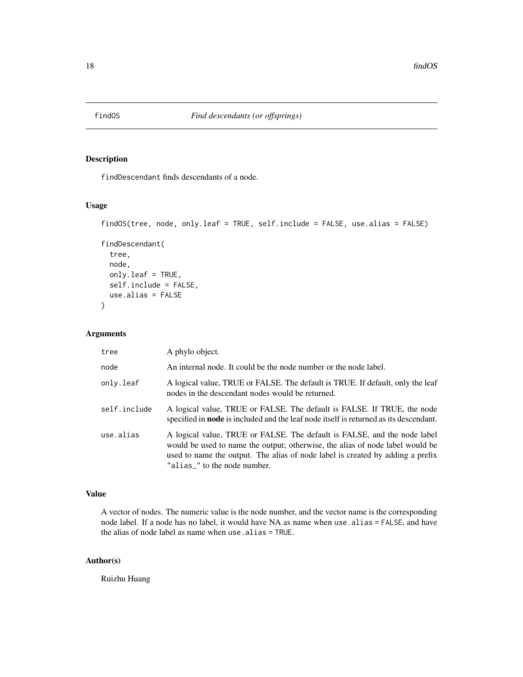<span id="page-17-0"></span>

findDescendant finds descendants of a node.

## Usage

```
findOS(tree, node, only.leaf = TRUE, self.include = FALSE, use.alias = FALSE)
```

```
findDescendant(
  tree,
  node,
  only.leaf = TRUE,
  self.include = FALSE,
 use.alias = FALSE
\mathcal{L}
```
## Arguments

| tree         | A phylo object.                                                                                                                                                                                                                                                             |
|--------------|-----------------------------------------------------------------------------------------------------------------------------------------------------------------------------------------------------------------------------------------------------------------------------|
| node         | An internal node. It could be the node number or the node label.                                                                                                                                                                                                            |
| only.leaf    | A logical value, TRUE or FALSE. The default is TRUE. If default, only the leaf<br>nodes in the descendant nodes would be returned.                                                                                                                                          |
| self.include | A logical value, TRUE or FALSE. The default is FALSE. If TRUE, the node<br>specified in <b>node</b> is included and the leaf node itself is returned as its descendant.                                                                                                     |
| use.alias    | A logical value, TRUE or FALSE. The default is FALSE, and the node label<br>would be used to name the output; otherwise, the alias of node label would be<br>used to name the output. The alias of node label is created by adding a prefix<br>"alias_" to the node number. |

## Value

A vector of nodes. The numeric value is the node number, and the vector name is the corresponding node label. If a node has no label, it would have NA as name when use.alias = FALSE, and have the alias of node label as name when use.alias = TRUE.

## Author(s)

Ruizhu Huang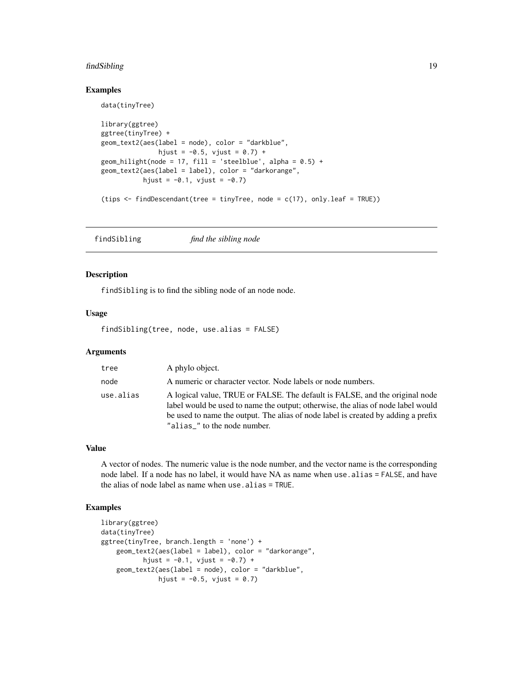#### <span id="page-18-0"></span>findSibling the state of the state of the state of the state of the state of the state of the state of the state of the state of the state of the state of the state of the state of the state of the state of the state of th

#### Examples

data(tinyTree)

```
library(ggtree)
ggtree(tinyTree) +
geom_text2(aes(label = node), color = "darkblue",
              hjust = -0.5, vjust = 0.7) +
geom_hilight(node = 17, fill = 'steelblue', alpha = 0.5) +
geom_text2(aes(label = label), color = "darkorange",
           hjust = -0.1, vjust = -0.7)
(tips \le findDescendant(tree = tinyTree, node = c(17), only.leaf = TRUE))
```
findSibling *find the sibling node*

## Description

findSibling is to find the sibling node of an node node.

#### Usage

findSibling(tree, node, use.alias = FALSE)

## Arguments

| tree      | A phylo object.                                                                                                                                                                                                                                                                      |
|-----------|--------------------------------------------------------------------------------------------------------------------------------------------------------------------------------------------------------------------------------------------------------------------------------------|
| node      | A numeric or character vector. Node labels or node numbers.                                                                                                                                                                                                                          |
| use.alias | A logical value, TRUE or FALSE. The default is FALSE, and the original node<br>label would be used to name the output; otherwise, the alias of node label would<br>be used to name the output. The alias of node label is created by adding a prefix<br>"alias_" to the node number. |

#### Value

A vector of nodes. The numeric value is the node number, and the vector name is the corresponding node label. If a node has no label, it would have NA as name when use.alias = FALSE, and have the alias of node label as name when use.alias = TRUE.

```
library(ggtree)
data(tinyTree)
ggtree(tinyTree, branch.length = 'none') +
   geom_text2(aes(label = label), color = "darkorange",
          hjust = -0.1, vjust = -0.7) +
   geom_text2(aes(label = node), color = "darkblue",
              hjust = -0.5, vjust = 0.7)
```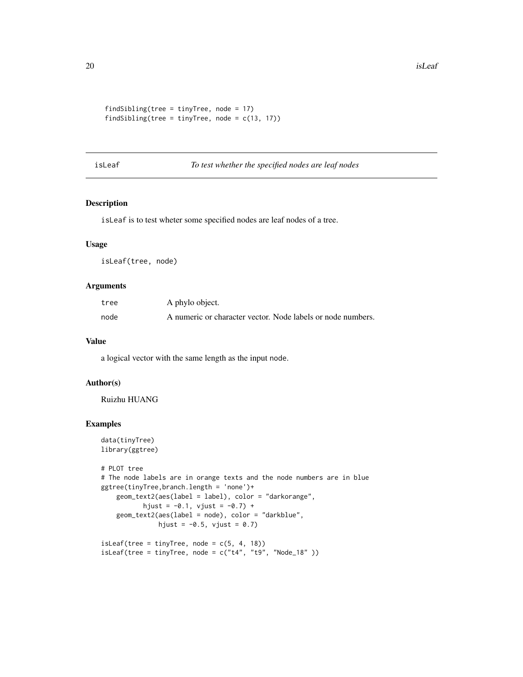```
findSibling(tree = tinyTree, node = 17)
findSibling(tree = tinyTree, node = c(13, 17))
```
## isLeaf *To test whether the specified nodes are leaf nodes*

## Description

isLeaf is to test wheter some specified nodes are leaf nodes of a tree.

## Usage

isLeaf(tree, node)

#### Arguments

| tree | A phylo object.                                             |
|------|-------------------------------------------------------------|
| node | A numeric or character vector. Node labels or node numbers. |

## Value

a logical vector with the same length as the input node.

#### Author(s)

Ruizhu HUANG

```
data(tinyTree)
library(ggtree)
# PLOT tree
# The node labels are in orange texts and the node numbers are in blue
ggtree(tinyTree,branch.length = 'none')+
   geom_text2(aes(label = label), color = "darkorange",
          hjust = -0.1, vjust = -0.7) +
    geom_text2(aes(label = node), color = "darkblue",
              hjust = -0.5, vjust = 0.7)
isLeaf(tree = tinyTree, node = c(5, 4, 18))
isLeaf(tree = tinyTree, node = c("t4", "t9", "Node_18")
```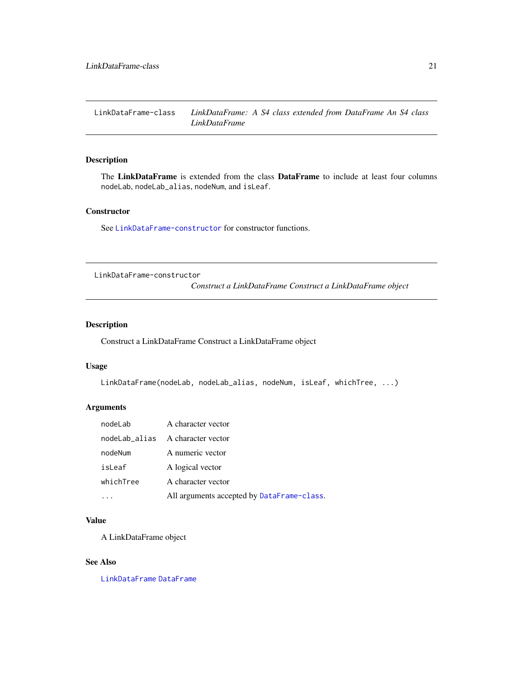<span id="page-20-2"></span><span id="page-20-0"></span>LinkDataFrame-class *LinkDataFrame: A S4 class extended from DataFrame An S4 class LinkDataFrame*

## Description

The LinkDataFrame is extended from the class DataFrame to include at least four columns nodeLab, nodeLab\_alias, nodeNum, and isLeaf.

## **Constructor**

See [LinkDataFrame-constructor](#page-20-1) for constructor functions.

<span id="page-20-1"></span>LinkDataFrame-constructor

*Construct a LinkDataFrame Construct a LinkDataFrame object*

## <span id="page-20-3"></span>Description

Construct a LinkDataFrame Construct a LinkDataFrame object

## Usage

```
LinkDataFrame(nodeLab, nodeLab_alias, nodeNum, isLeaf, whichTree, ...)
```
## Arguments

| nodeLab   | A character vector                         |
|-----------|--------------------------------------------|
|           | nodeLab_alias A character vector           |
| nodeNum   | A numeric vector                           |
| isLeaf    | A logical vector                           |
| whichTree | A character vector                         |
|           | All arguments accepted by DataFrame-class. |

#### Value

A LinkDataFrame object

#### See Also

[LinkDataFrame](#page-20-2) [DataFrame](#page-0-0)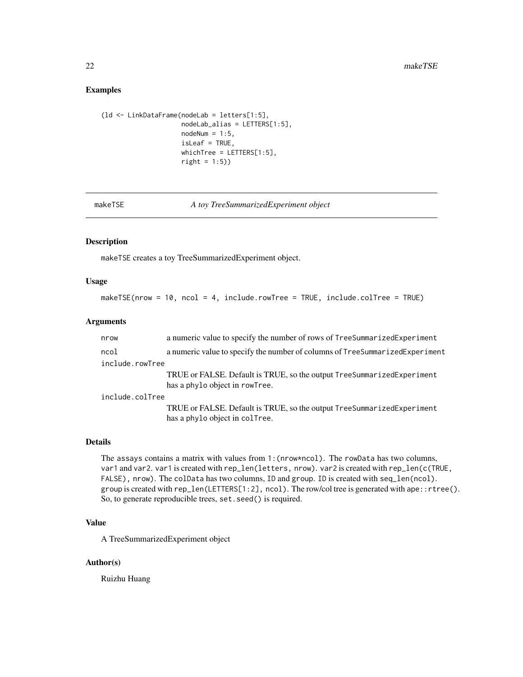#### <span id="page-21-0"></span>Examples

```
(ld <- LinkDataFrame(nodeLab = letters[1:5],
                     nodeLab_alias = LETTERS[1:5],
                     nodeNum = 1:5,
                     isLeaf = TRUE,
                     whichTree = LETTERS[1:5],
                     right = 1:5))
```
makeTSE *A toy TreeSummarizedExperiment object*

#### Description

makeTSE creates a toy TreeSummarizedExperiment object.

## Usage

```
makeTSE(nrow = 10, ncol = 4, include.rowTree = TRUE, include.colTree = TRUE)
```
#### Arguments

| nrow            | a numeric value to specify the number of rows of TreeSummarizedExperiment                                |  |
|-----------------|----------------------------------------------------------------------------------------------------------|--|
| ncol            | a numeric value to specify the number of columns of TreeSummarizedExperiment                             |  |
| include.rowTree |                                                                                                          |  |
|                 | TRUE or FALSE. Default is TRUE, so the output TreeSummarizedExperiment<br>has a phylo object in rowTree. |  |
| include.colTree |                                                                                                          |  |
|                 | TRUE or FALSE. Default is TRUE, so the output TreeSummarizedExperiment<br>has a phylo object in colTree. |  |

#### Details

The assays contains a matrix with values from 1:(nrow\*ncol). The rowData has two columns, var1 and var2. var1 is created with rep\_len(letters, nrow). var2 is created with rep\_len(c(TRUE, FALSE), nrow). The colData has two columns, ID and group. ID is created with seq\_len(ncol). group is created with rep\_len(LETTERS[1:2], ncol). The row/col tree is generated with ape::rtree(). So, to generate reproducible trees, set.seed() is required.

## Value

A TreeSummarizedExperiment object

#### Author(s)

Ruizhu Huang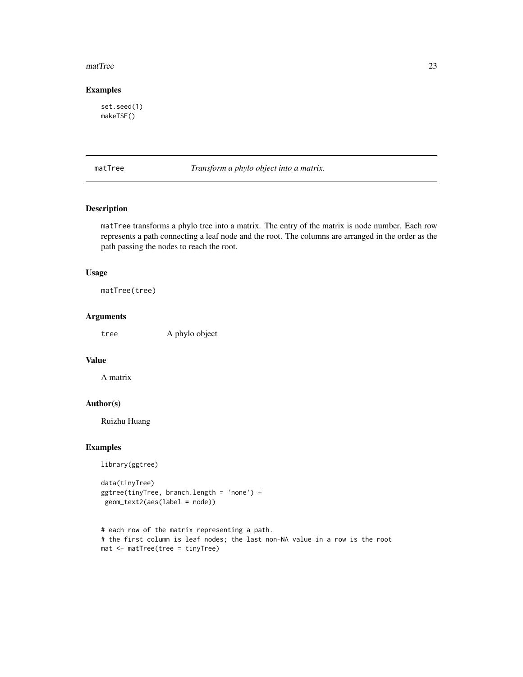#### <span id="page-22-0"></span>matTree 23

## Examples

set.seed(1) makeTSE()

matTree *Transform a phylo object into a matrix.*

## Description

matTree transforms a phylo tree into a matrix. The entry of the matrix is node number. Each row represents a path connecting a leaf node and the root. The columns are arranged in the order as the path passing the nodes to reach the root.

## Usage

matTree(tree)

## Arguments

tree A phylo object

## Value

A matrix

## Author(s)

Ruizhu Huang

## Examples

library(ggtree)

```
data(tinyTree)
ggtree(tinyTree, branch.length = 'none') +
geom_text2(aes(label = node))
```

```
# each row of the matrix representing a path.
# the first column is leaf nodes; the last non-NA value in a row is the root
mat <- matTree(tree = tinyTree)
```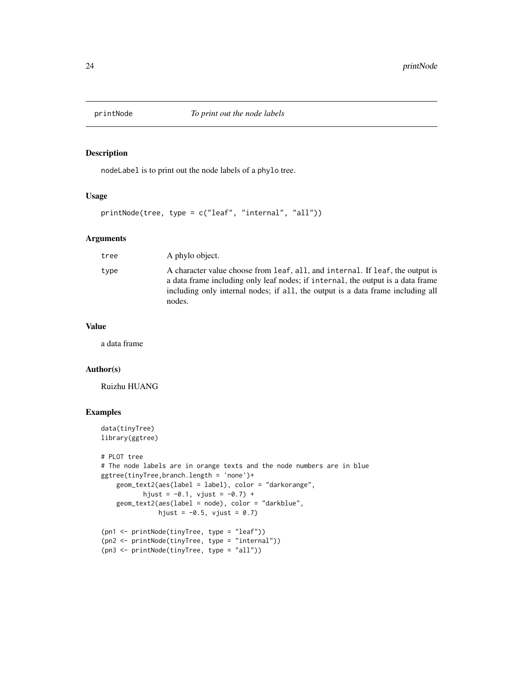<span id="page-23-0"></span>

nodeLabel is to print out the node labels of a phylo tree.

#### Usage

printNode(tree, type = c("leaf", "internal", "all"))

## Arguments

| tree | A phylo object.                                                                                                                                                                                                                                               |
|------|---------------------------------------------------------------------------------------------------------------------------------------------------------------------------------------------------------------------------------------------------------------|
| type | A character value choose from leaf, all, and internal. If leaf, the output is<br>a data frame including only leaf nodes; if internal, the output is a data frame<br>including only internal nodes; if all, the output is a data frame including all<br>nodes. |

#### Value

a data frame

## Author(s)

Ruizhu HUANG

```
data(tinyTree)
library(ggtree)
# PLOT tree
# The node labels are in orange texts and the node numbers are in blue
ggtree(tinyTree,branch.length = 'none')+
    geom_text2(aes(label = label), color = "darkorange",
           hjust = -0.1, vjust = -0.7) +
    geom_text2(aes(label = node), color = "darkblue",
               hjust = -0.5, vjust = 0.7)
(pn1 <- printNode(tinyTree, type = "leaf"))
(pn2 <- printNode(tinyTree, type = "internal"))
(pn3 <- printNode(tinyTree, type = "all"))
```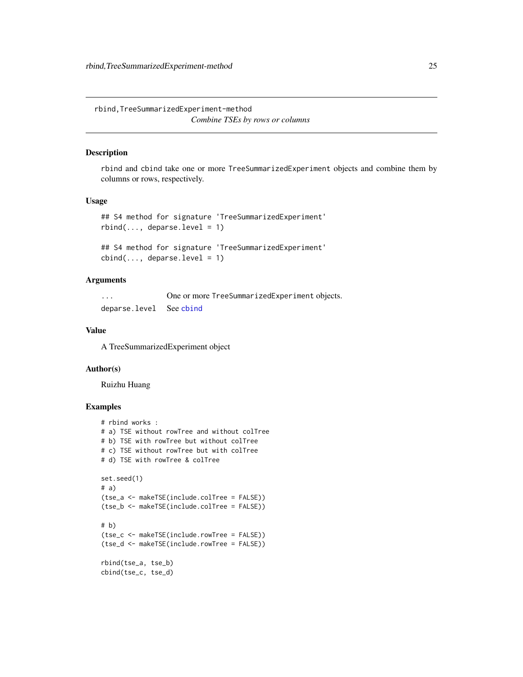<span id="page-24-0"></span>rbind,TreeSummarizedExperiment-method *Combine TSEs by rows or columns*

#### Description

rbind and cbind take one or more TreeSummarizedExperiment objects and combine them by columns or rows, respectively.

## Usage

```
## S4 method for signature 'TreeSummarizedExperiment'
rbind(..., deparse.level = 1)
```

```
## S4 method for signature 'TreeSummarizedExperiment'
cbind(..., deparse.level = 1)
```
## **Arguments**

... One or more TreeSummarizedExperiment objects. deparse.level See [cbind](#page-0-0)

## Value

A TreeSummarizedExperiment object

#### Author(s)

Ruizhu Huang

```
# rbind works :
# a) TSE without rowTree and without colTree
# b) TSE with rowTree but without colTree
# c) TSE without rowTree but with colTree
# d) TSE with rowTree & colTree
set.seed(1)
# a)
(tse_a <- makeTSE(include.colTree = FALSE))
(tse_b <- makeTSE(include.colTree = FALSE))
# b)
(tse_c <- makeTSE(include.rowTree = FALSE))
(tse_d <- makeTSE(include.rowTree = FALSE))
rbind(tse_a, tse_b)
cbind(tse_c, tse_d)
```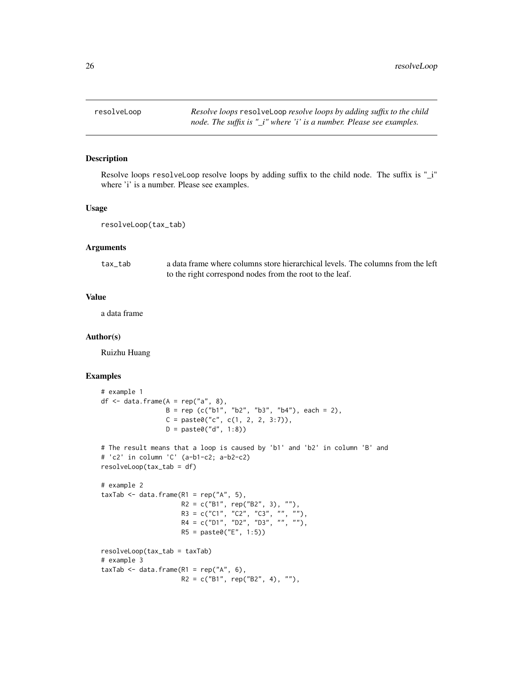<span id="page-25-0"></span>

Resolve loops resolveLoop resolve loops by adding suffix to the child node. The suffix is "\_i" where 'i' is a number. Please see examples.

#### Usage

resolveLoop(tax\_tab)

## **Arguments**

| tax tab | a data frame where columns store hierarchical levels. The columns from the left |
|---------|---------------------------------------------------------------------------------|
|         | to the right correspond nodes from the root to the leaf.                        |

## Value

a data frame

#### Author(s)

Ruizhu Huang

```
# example 1
df \leq data.frame(A = rep("a", 8),
                 B = rep (c("b1", "b2", "b3", "b4"), each = 2),C = paste0("c", c(1, 2, 2, 3:7)),D = paste0("d", 1:8))
# The result means that a loop is caused by 'b1' and 'b2' in column 'B' and
# 'c2' in column 'C' (a-b1-c2; a-b2-c2)
resolveLoop(tax_tab = df)
# example 2
taxTab \leq data.frame(R1 = rep("A", 5),
                     R2 = c("B1", rep("B2", 3), ""),
                     R3 = c("C1", "C2", "C3", "", ""),
                     R4 = c("D1", "D2", "D3", "", ""),
                     R5 = paste0("E", 1:5))
resolveLoop(tax_tab = taxTab)
# example 3
taxTab \leq data.frame(R1 = rep("A", 6),
                     R2 = c("B1", rep("B2", 4), ""),
```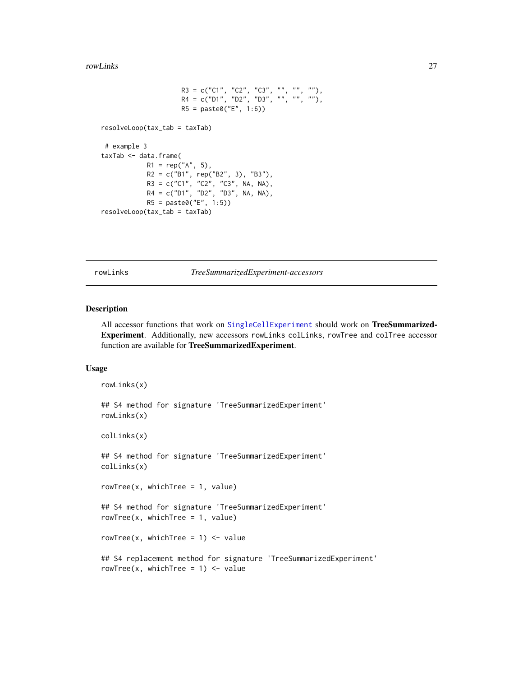```
R3 = c("C1", "C2", "C3", "", "", ""),
                     R4 = c("D1", "D2", "D3", "", "", ""),
                     R5 = paste0("E", 1:6))
resolveLoop(tax_tab = taxTab)
# example 3
taxTab <- data.frame(
            R1 = rep("A", 5),R2 = c("B1", rep("B2", 3), "B3"),R3 = c("C1", "C2", "C3", NA, NA),
            R4 = c("D1", "D2", "D3", NA, NA),
            R5 = paste0("E", 1:5))
resolveLoop(tax_tab = taxTab)
```
rowLinks *TreeSummarizedExperiment-accessors*

#### <span id="page-26-1"></span>Description

All accessor functions that work on [SingleCellExperiment](#page-0-0) should work on TreeSummarized-Experiment. Additionally, new accessors rowLinks colLinks, rowTree and colTree accessor function are available for TreeSummarizedExperiment.

#### Usage

```
rowLinks(x)
## S4 method for signature 'TreeSummarizedExperiment'
rowLinks(x)
colLinks(x)
## S4 method for signature 'TreeSummarizedExperiment'
colLinks(x)
rowTree(x, whichTree = 1, value)
## S4 method for signature 'TreeSummarizedExperiment'
rowTree(x, whichTree = 1, value)rowTree(x, whichTree = 1) <- value
## S4 replacement method for signature 'TreeSummarizedExperiment'
rowTree(x, whichTree = 1) <- value
```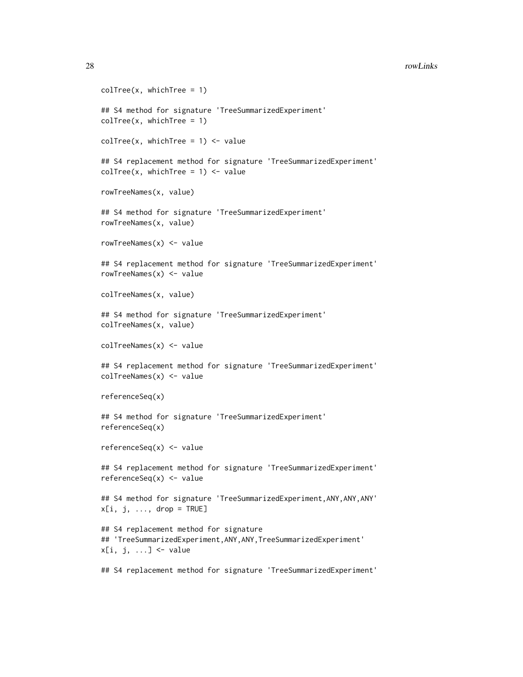```
colTree(x, whichTree = 1)## S4 method for signature 'TreeSummarizedExperiment'
colTree(x, whichTree = 1)colTree(x, whichTree = 1) <- value
## S4 replacement method for signature 'TreeSummarizedExperiment'
colTree(x, whichTree = 1) <- value
rowTreeNames(x, value)
## S4 method for signature 'TreeSummarizedExperiment'
rowTreeNames(x, value)
rowTreeNames(x) <- value
## S4 replacement method for signature 'TreeSummarizedExperiment'
rowTreeNames(x) <- value
colTreeNames(x, value)
## S4 method for signature 'TreeSummarizedExperiment'
colTreeNames(x, value)
colTreeNames(x) <- value
## S4 replacement method for signature 'TreeSummarizedExperiment'
colTreeNames(x) <- value
referenceSeq(x)
## S4 method for signature 'TreeSummarizedExperiment'
referenceSeq(x)
referenceSeq(x) <- value
## S4 replacement method for signature 'TreeSummarizedExperiment'
referenceSeq(x) <- value
## S4 method for signature 'TreeSummarizedExperiment, ANY, ANY, ANY'
x[i, j, \ldots, drop = TRUE]## S4 replacement method for signature
## 'TreeSummarizedExperiment,ANY,ANY,TreeSummarizedExperiment'
x[i, j, ...] <- value
## S4 replacement method for signature 'TreeSummarizedExperiment'
```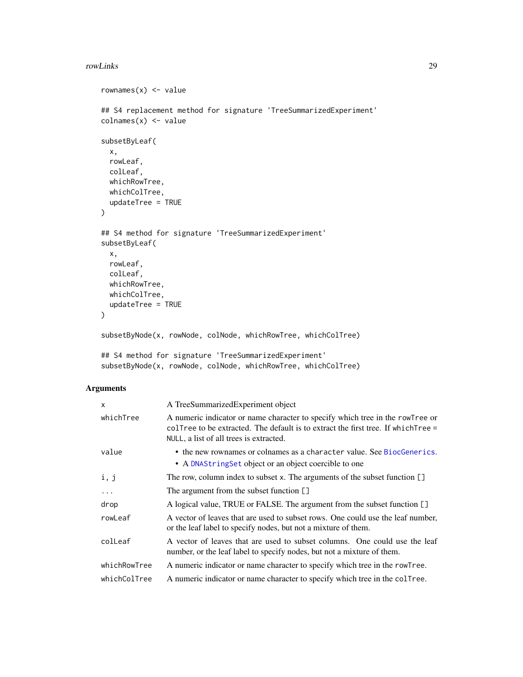#### <span id="page-28-0"></span>rowLinks 29

```
rownames(x) <- value
## S4 replacement method for signature 'TreeSummarizedExperiment'
\text{columns}(x) \leq \text{value}subsetByLeaf(
 x,
 rowLeaf,
 colLeaf,
 whichRowTree,
 whichColTree,
  updateTree = TRUE
)
## S4 method for signature 'TreeSummarizedExperiment'
subsetByLeaf(
 x,
 rowLeaf,
 colLeaf,
 whichRowTree,
 whichColTree,
 updateTree = TRUE
\mathcal{L}subsetByNode(x, rowNode, colNode, whichRowTree, whichColTree)
```

```
## S4 method for signature 'TreeSummarizedExperiment'
subsetByNode(x, rowNode, colNode, whichRowTree, whichColTree)
```
## Arguments

| $\mathsf{x}$ | A TreeSummarizedExperiment object                                                                                                                                                                                 |
|--------------|-------------------------------------------------------------------------------------------------------------------------------------------------------------------------------------------------------------------|
| whichTree    | A numeric indicator or name character to specify which tree in the rowTree or<br>collect to be extracted. The default is to extract the first tree. If which $T$ ree =<br>NULL, a list of all trees is extracted. |
| value        | • the new rownames or colnames as a character value. See BiocGenerics.<br>• A DNAString Set object or an object coercible to one                                                                                  |
| i, j         | The row, column index to subset x. The arguments of the subset function $\lceil \cdot \rceil$                                                                                                                     |
| $\cdots$     | The argument from the subset function []                                                                                                                                                                          |
| drop         | A logical value, TRUE or FALSE. The argument from the subset function []                                                                                                                                          |
| rowLeaf      | A vector of leaves that are used to subset rows. One could use the leaf number,<br>or the leaf label to specify nodes, but not a mixture of them.                                                                 |
| colLeaf      | A vector of leaves that are used to subset columns. One could use the leaf<br>number, or the leaf label to specify nodes, but not a mixture of them.                                                              |
| whichRowTree | A numeric indicator or name character to specify which tree in the rowTree.                                                                                                                                       |
| whichColTree | A numeric indicator or name character to specify which tree in the collect                                                                                                                                        |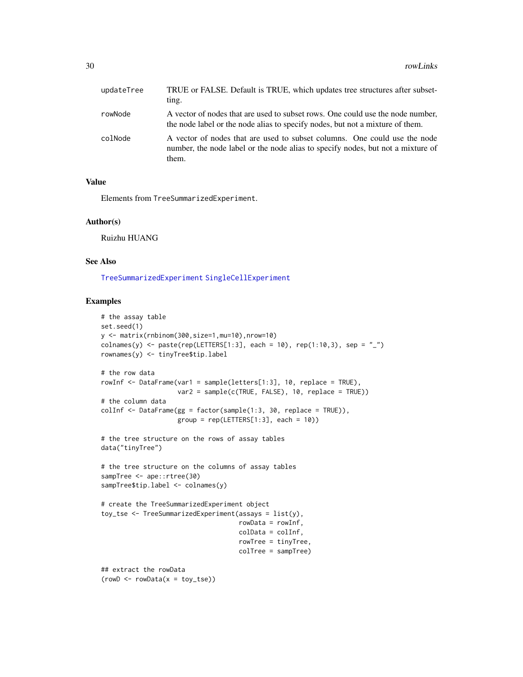<span id="page-29-0"></span>

| updateTree | TRUE or FALSE. Default is TRUE, which updates tree structures after subset-<br>ting.                                                                                  |
|------------|-----------------------------------------------------------------------------------------------------------------------------------------------------------------------|
| rowNode    | A vector of nodes that are used to subset rows. One could use the node number,<br>the node label or the node alias to specify nodes, but not a mixture of them.       |
| colNode    | A vector of nodes that are used to subset columns. One could use the node<br>number, the node label or the node alias to specify nodes, but not a mixture of<br>them. |

#### Value

Elements from TreeSummarizedExperiment.

#### Author(s)

Ruizhu HUANG

#### See Also

[TreeSummarizedExperiment](#page-39-1) [SingleCellExperiment](#page-0-0)

```
# the assay table
set.seed(1)
y <- matrix(rnbinom(300,size=1,mu=10),nrow=10)
colnames(y) <- paste(rep(LETTERS[1:3], each = 10), rep(1:10,3), sep = "_")
rownames(y) <- tinyTree$tip.label
# the row data
rowInf <- DataFrame(var1 = sample(letters[1:3], 10, replace = TRUE),
                    var2 = sample(c(TRUE, FALSE), 10, replace = TRUE))
# the column data
colInf \leq DataFrame(gg = factor(sample(1:3, 30, replace = TRUE)),
                    group = rep(LETTERS[1:3], each = 10))# the tree structure on the rows of assay tables
data("tinyTree")
# the tree structure on the columns of assay tables
sampTree <- ape::rtree(30)
sampTree$tip.label <- colnames(y)
# create the TreeSummarizedExperiment object
toy_tse <- TreeSummarizedExperiment(assays = list(y),
                                    rowData = rowInf,
                                    colData = colInf,
                                    rowTree = tinyTree,
                                    colTree = sampTree)
## extract the rowData
(rowD \leftarrow rowData(x = toy\_tse))
```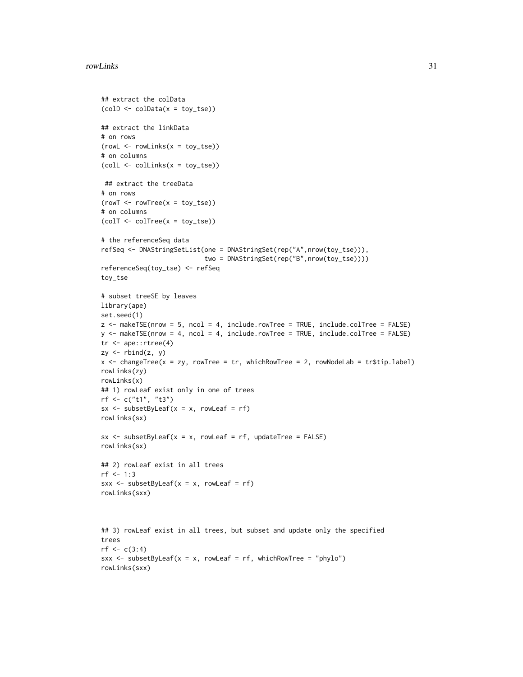#### rowLinks 31

```
## extract the colData
(colD <- colData(x = toy_tse))
## extract the linkData
# on rows
(rowL < -rowLinks(x = toy_tse))# on columns
(colL <- colLinks(x = toy_tse))
## extract the treeData
# on rows
(rowT < - rowTree(x = toy_t, t)# on columns
(colT <- colTree(x = toy_tse))
# the referenceSeq data
refSeq <- DNAStringSetList(one = DNAStringSet(rep("A",nrow(toy_tse))),
                           two = DNAStringSet(rep("B",nrow(toy_tse))))
referenceSeq(toy_tse) <- refSeq
toy_tse
# subset treeSE by leaves
library(ape)
set.seed(1)
z <- makeTSE(nrow = 5, ncol = 4, include.rowTree = TRUE, include.colTree = FALSE)
y <- makeTSE(nrow = 4, ncol = 4, include.rowTree = TRUE, include.colTree = FALSE)
tr <- ape::rtree(4)
zy <- rbind(z, y)
x <- changeTree(x = xy, rowTree = tr, whichRowTree = 2, rowNodeLab = tr$tip.label)
rowLinks(zy)
rowLinks(x)
## 1) rowLeaf exist only in one of trees
rf <- c("t1", "t3")
sx \le - subsetByLeaf(x = x, rowLeaf = rf)
rowLinks(sx)
sx \leq -subsetByLeaf(x = x, rowLeaf = rf, updateTree = FALSE)rowLinks(sx)
## 2) rowLeaf exist in all trees
rf < -1:3sxx <- subsetByLeaf(x = x, rowLeaf = rf)
rowLinks(sxx)
## 3) rowLeaf exist in all trees, but subset and update only the specified
trees
rf \leftarrow c(3:4)
```

```
sxx <- subsetByLeaf(x = x, rowLeaf = rf, whichRowTree = "phylo")
rowLinks(sxx)
```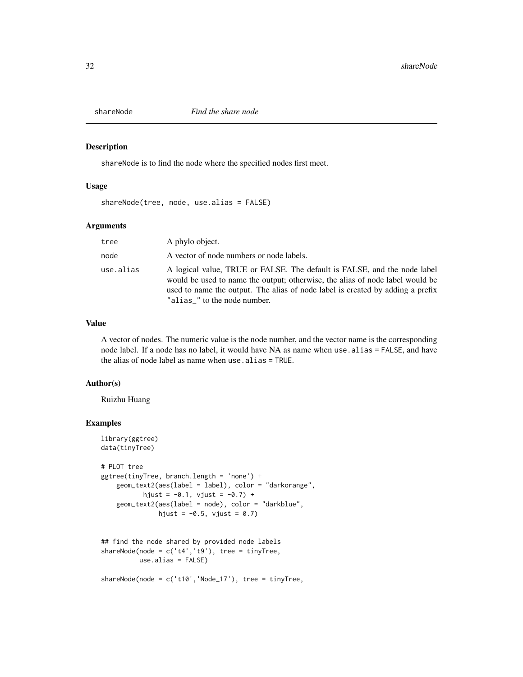<span id="page-31-0"></span>

shareNode is to find the node where the specified nodes first meet.

#### Usage

shareNode(tree, node, use.alias = FALSE)

## Arguments

| tree      | A phylo object.                                                                                                                                                                                                                                                             |
|-----------|-----------------------------------------------------------------------------------------------------------------------------------------------------------------------------------------------------------------------------------------------------------------------------|
| node      | A vector of node numbers or node labels.                                                                                                                                                                                                                                    |
| use.alias | A logical value, TRUE or FALSE. The default is FALSE, and the node label<br>would be used to name the output; otherwise, the alias of node label would be<br>used to name the output. The alias of node label is created by adding a prefix<br>"alias_" to the node number. |

## Value

A vector of nodes. The numeric value is the node number, and the vector name is the corresponding node label. If a node has no label, it would have NA as name when use.alias = FALSE, and have the alias of node label as name when use.alias = TRUE.

#### Author(s)

Ruizhu Huang

## Examples

```
library(ggtree)
data(tinyTree)
# PLOT tree
ggtree(tinyTree, branch.length = 'none') +
   geom_text2(aes(label = label), color = "darkorange",
           hjust = -0.1, vjust = -0.7) +
   geom_text2(aes(label = node), color = "darkblue",
              hjust = -0.5, vjust = 0.7)
## find the node shared by provided node labels
shareNode(node = c('t4', 't9'), tree = tinyTree,use.alias = FALSE)
```
shareNode(node = c('t10','Node\_17'), tree = tinyTree,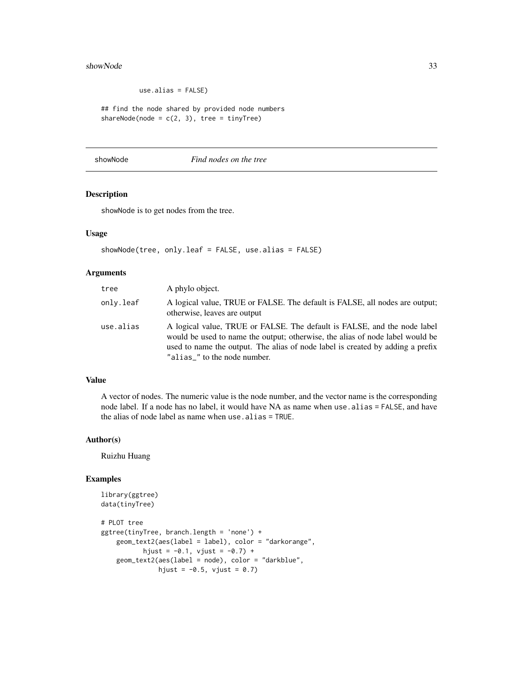#### <span id="page-32-0"></span>showNode 33

use.alias = FALSE)

```
## find the node shared by provided node numbers
shareNode(node = c(2, 3), tree = tinyTree)
```
showNode *Find nodes on the tree*

## Description

showNode is to get nodes from the tree.

#### Usage

showNode(tree, only.leaf = FALSE, use.alias = FALSE)

## Arguments

| tree      | A phylo object.                                                                                                                                                                                                                                                             |
|-----------|-----------------------------------------------------------------------------------------------------------------------------------------------------------------------------------------------------------------------------------------------------------------------------|
| only.leaf | A logical value, TRUE or FALSE. The default is FALSE, all nodes are output;<br>otherwise, leaves are output                                                                                                                                                                 |
| use.alias | A logical value, TRUE or FALSE. The default is FALSE, and the node label<br>would be used to name the output; otherwise, the alias of node label would be<br>used to name the output. The alias of node label is created by adding a prefix<br>"alias_" to the node number. |

## Value

A vector of nodes. The numeric value is the node number, and the vector name is the corresponding node label. If a node has no label, it would have NA as name when use.alias = FALSE, and have the alias of node label as name when use.alias = TRUE.

#### Author(s)

Ruizhu Huang

```
library(ggtree)
data(tinyTree)
# PLOT tree
ggtree(tinyTree, branch.length = 'none') +
   geom_text2(aes(label = label), color = "darkorange",
          hjust = -0.1, vjust = -0.7) +
    geom_text2(aes(label = node), color = "darkblue",
              hjust = -0.5, vjust = 0.7)
```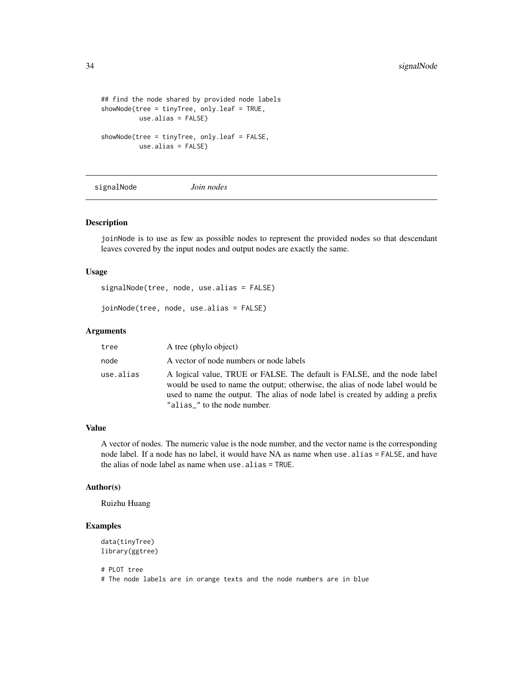```
## find the node shared by provided node labels
showNode(tree = tinyTree, only.leaf = TRUE,
         use.alias = FALSE)
showNode(tree = tinyTree, only.leaf = FALSE,
         use.alias = FALSE)
```
signalNode *Join nodes*

## Description

joinNode is to use as few as possible nodes to represent the provided nodes so that descendant leaves covered by the input nodes and output nodes are exactly the same.

#### Usage

signalNode(tree, node, use.alias = FALSE)

joinNode(tree, node, use.alias = FALSE)

#### Arguments

| tree      | A tree (phylo object)                                                                                                                                                                                                                                                       |
|-----------|-----------------------------------------------------------------------------------------------------------------------------------------------------------------------------------------------------------------------------------------------------------------------------|
| node      | A vector of node numbers or node labels                                                                                                                                                                                                                                     |
| use.alias | A logical value, TRUE or FALSE. The default is FALSE, and the node label<br>would be used to name the output; otherwise, the alias of node label would be<br>used to name the output. The alias of node label is created by adding a prefix<br>"alias_" to the node number. |

## Value

A vector of nodes. The numeric value is the node number, and the vector name is the corresponding node label. If a node has no label, it would have NA as name when use.alias = FALSE, and have the alias of node label as name when use.alias = TRUE.

#### Author(s)

Ruizhu Huang

## Examples

```
data(tinyTree)
library(ggtree)
# PLOT tree
```
# The node labels are in orange texts and the node numbers are in blue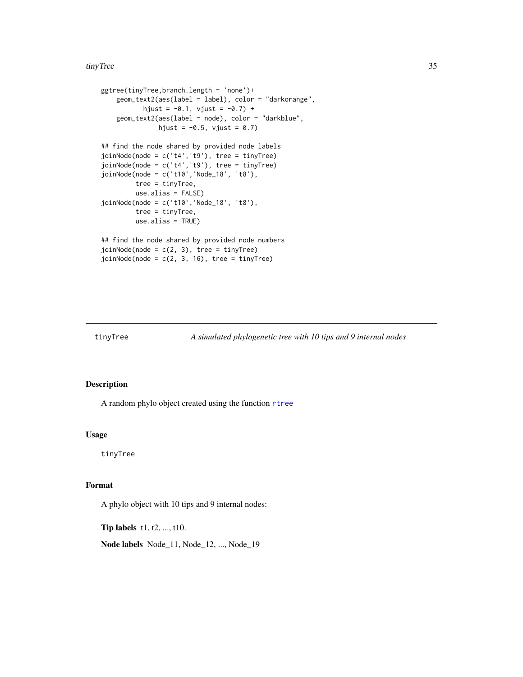#### <span id="page-34-0"></span>tinyTree 35

```
ggtree(tinyTree,branch.length = 'none')+
   geom_text2(aes(label = label), color = "darkorange",
           hjust = -0.1, vjust = -0.7) +
   geom_text2(aes(label = node), color = "darkblue",
              hjust = -0.5, vjust = 0.7)
## find the node shared by provided node labels
joinNode(node = c('t4','t9'), tree = tinyTree)
joinNode(node = c('t4','t9'), tree = tinyTree)
joinNode(node = c('t10','Node_18', 't8'),
         tree = tinyTree,
        use.alias = FALSE)
joinNode(node = c('t10','Node_18', 't8'),
         tree = tinyTree,
        use.alias = TRUE)
## find the node shared by provided node numbers
joinNode(node = c(2, 3), tree = tinyTree)joinNode(node = c(2, 3, 16), tree = tinyTree)
```
## Description

A random phylo object created using the function [rtree](#page-0-0)

#### Usage

tinyTree

## Format

A phylo object with 10 tips and 9 internal nodes:

Tip labels t1, t2, ..., t10.

Node labels Node\_11, Node\_12, ..., Node\_19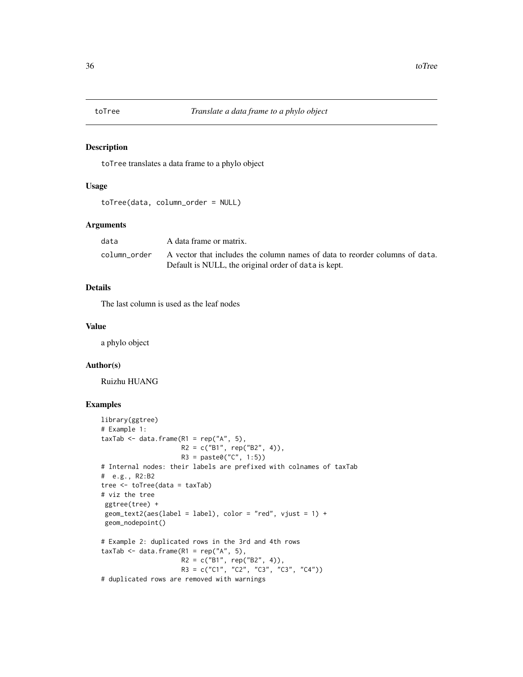<span id="page-35-0"></span>

toTree translates a data frame to a phylo object

#### Usage

```
toTree(data, column_order = NULL)
```
## Arguments

| data         | A data frame or matrix.                                                     |
|--------------|-----------------------------------------------------------------------------|
| column order | A vector that includes the column names of data to reorder columns of data. |
|              | Default is NULL, the original order of data is kept.                        |

## Details

The last column is used as the leaf nodes

#### Value

a phylo object

#### Author(s)

Ruizhu HUANG

```
library(ggtree)
# Example 1:
taxTab \leq data.frame(R1 = rep("A", 5),
                     R2 = c("B1", rep("B2", 4)),R3 = paste0("C", 1:5))
# Internal nodes: their labels are prefixed with colnames of taxTab
# e.g., R2:B2
tree <- toTree(data = taxTab)
# viz the tree
 ggtree(tree) +
 geom\_text2(ase(label = label), color = "red", vjust = 1) +geom_nodepoint()
# Example 2: duplicated rows in the 3rd and 4th rows
taxTab \leq data.frame(R1 = rep("A", 5),
                     R2 = c("B1", rep("B2", 4)),R3 = c("C1", "C2", "C3", "C3", "C4"))
# duplicated rows are removed with warnings
```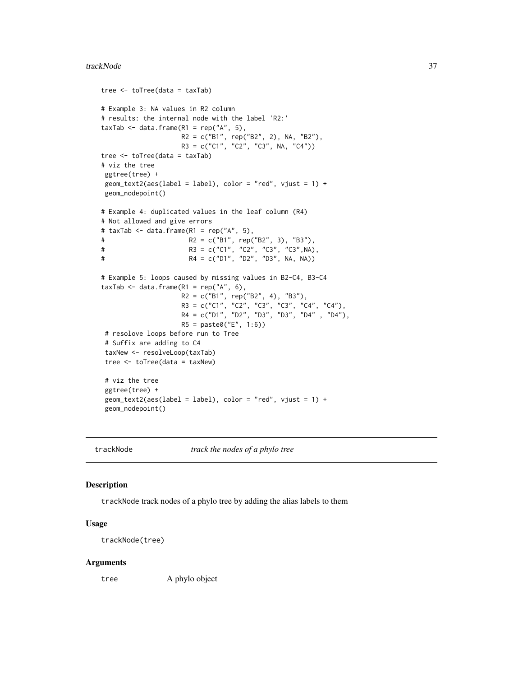#### <span id="page-36-0"></span>trackNode 37

```
tree <- toTree(data = taxTab)
# Example 3: NA values in R2 column
# results: the internal node with the label 'R2:'
taxTab \leq data.frame(R1 = rep("A", 5),
                   R2 = c("B1", rep("B2", 2), NA, "B2"),R3 = c("C1", "C2", "C3", NA, "C4"))
tree <- toTree(data = taxTab)
# viz the tree
ggtree(tree) +
geom_text2(aes(label = label), color = "red", vjust = 1) +
geom_nodepoint()
# Example 4: duplicated values in the leaf column (R4)
# Not allowed and give errors
# taxTab <- data.frame(R1 = rep("A", 5),
# R2 = c("B1", rep("B2", 3), "B3"),
# R3 = c("C1", "C2", "C3", "C3",NA),
# R4 = c("D1", "D2", "D3", NA, NA))
# Example 5: loops caused by missing values in B2-C4, B3-C4
taxTab \leq data.frame(R1 = rep("A", 6),
                    R2 = c("B1", rep("B2", 4), "B3"),
                    R3 = c("C1", "C2", "C3", "C3", "C4", "C4"),
                    R4 = c("D1", "D2", "D3", "D3", "D4" , "D4"),
                    R5 = paste0("E", 1:6))
 # resolove loops before run to Tree
# Suffix are adding to C4
 taxNew <- resolveLoop(taxTab)
tree <- toTree(data = taxNew)
# viz the tree
ggtree(tree) +
geom_text2(aes(label = label), color = "red", vjust = 1) +
geom_nodepoint()
```
trackNode *track the nodes of a phylo tree*

#### **Description**

trackNode track nodes of a phylo tree by adding the alias labels to them

#### Usage

trackNode(tree)

#### Arguments

tree A phylo object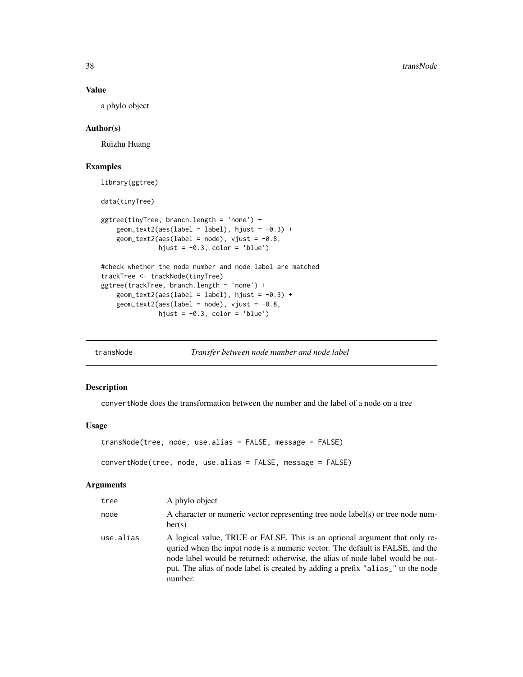#### Value

a phylo object

### Author(s)

Ruizhu Huang

## Examples

```
library(ggtree)
```
data(tinyTree)

```
ggtree(tinyTree, branch.length = 'none') +
   geom\_text2(ase(label = label), hjust = -0.3) +geom_text2(aes(label = node), vjust = -0.8,hjust = -0.3, color = 'blue')
```

```
#check whether the node number and node label are matched
trackTree <- trackNode(tinyTree)
ggtree(trackTree, branch.length = 'none') +
   geom\_text2(ase(label = label), hjust = -0.3) +geom_text2(aes(label = node), vjust = -0.8,hjust = -0.3, color = 'blue')
```
transNode *Transfer between node number and node label*

## Description

convertNode does the transformation between the number and the label of a node on a tree

#### Usage

```
transNode(tree, node, use.alias = FALSE, message = FALSE)
convertNode(tree, node, use.alias = FALSE, message = FALSE)
```
#### Arguments

| tree      | A phylo object                                                                                                                                                                                                                                                                                                                              |
|-----------|---------------------------------------------------------------------------------------------------------------------------------------------------------------------------------------------------------------------------------------------------------------------------------------------------------------------------------------------|
| node      | A character or numeric vector representing tree node label(s) or tree node num-<br>ber(s)                                                                                                                                                                                                                                                   |
| use.alias | A logical value, TRUE or FALSE. This is an optional argument that only re-<br>quried when the input node is a numeric vector. The default is FALSE, and the<br>node label would be returned; otherwise, the alias of node label would be out-<br>put. The alias of node label is created by adding a prefix "alias_" to the node<br>number. |

<span id="page-37-0"></span>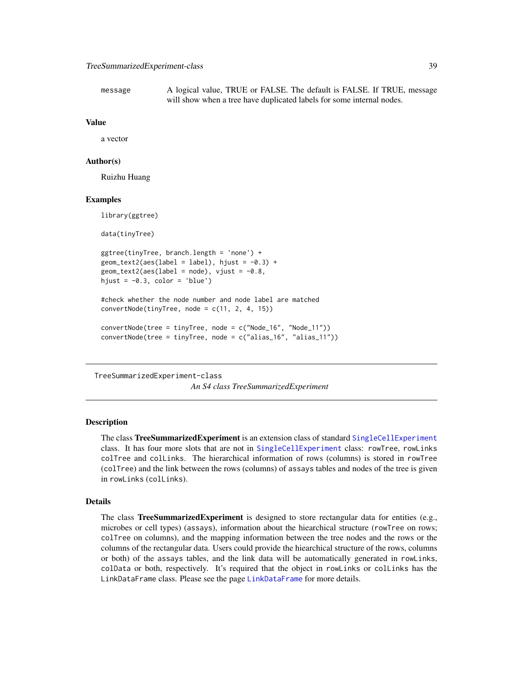<span id="page-38-0"></span>message A logical value, TRUE or FALSE. The default is FALSE. If TRUE, message will show when a tree have duplicated labels for some internal nodes.

#### Value

a vector

#### Author(s)

Ruizhu Huang

#### Examples

library(ggtree) data(tinyTree) ggtree(tinyTree, branch.length = 'none') +  $geom\_text2(ase(label = label), hjust = -0.3) +$  $geom\_text2(ase(label = node), vjust = -0.8,$ hjust =  $-0.3$ , color = 'blue') #check whether the node number and node label are matched  $convertNode(tinyTree, node = c(11, 2, 4, 15))$ convertNode(tree = tinyTree, node = c("Node\_16", "Node\_11")) convertNode(tree = tinyTree, node = c("alias\_16", "alias\_11"))

<span id="page-38-1"></span>TreeSummarizedExperiment-class

*An S4 class TreeSummarizedExperiment*

## Description

The class TreeSummarizedExperiment is an extension class of standard [SingleCellExperiment](#page-0-0) class. It has four more slots that are not in [SingleCellExperiment](#page-0-0) class: rowTree, rowLinks colTree and colLinks. The hierarchical information of rows (columns) is stored in rowTree (colTree) and the link between the rows (columns) of assays tables and nodes of the tree is given in rowLinks (colLinks).

#### Details

The class TreeSummarizedExperiment is designed to store rectangular data for entities (e.g., microbes or cell types) (assays), information about the hiearchical structure (rowTree on rows; colTree on columns), and the mapping information between the tree nodes and the rows or the columns of the rectangular data. Users could provide the hiearchical structure of the rows, columns or both) of the assays tables, and the link data will be automatically generated in rowLinks, colData or both, respectively. It's required that the object in rowLinks or colLinks has the LinkDataFrame class. Please see the page [LinkDataFrame](#page-20-3) for more details.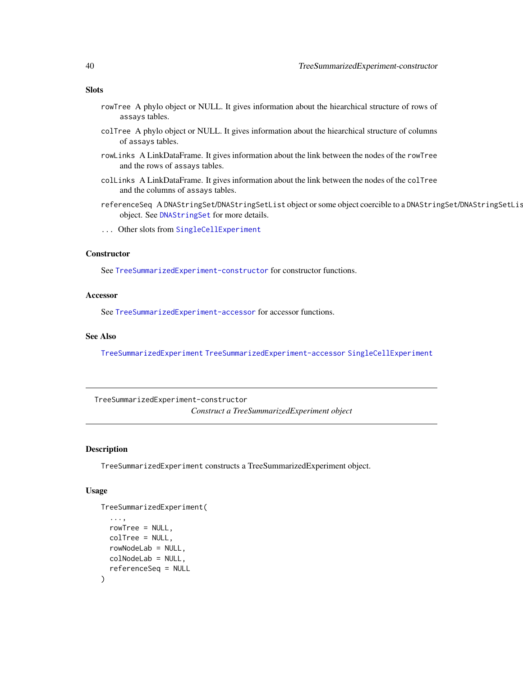### <span id="page-39-0"></span>**Slots**

- rowTree A phylo object or NULL. It gives information about the hiearchical structure of rows of assays tables.
- colTree A phylo object or NULL. It gives information about the hiearchical structure of columns of assays tables.
- rowLinks A LinkDataFrame. It gives information about the link between the nodes of the rowTree and the rows of assays tables.
- colLinks A LinkDataFrame. It gives information about the link between the nodes of the colTree and the columns of assays tables.
- referenceSeq A DNAStringSet/DNAStringSetList object or some object coercible to a DNAStringSet/DNAStringSetList object. See [DNAStringSet](#page-0-0) for more details.
- ... Other slots from [SingleCellExperiment](#page-0-0)

## **Constructor**

See [TreeSummarizedExperiment-constructor](#page-39-2) for constructor functions.

#### Accessor

See [TreeSummarizedExperiment-accessor](#page-26-1) for accessor functions.

#### See Also

[TreeSummarizedExperiment](#page-39-1) [TreeSummarizedExperiment-accessor](#page-26-1) [SingleCellExperiment](#page-0-0)

<span id="page-39-2"></span>TreeSummarizedExperiment-constructor *Construct a TreeSummarizedExperiment object*

#### <span id="page-39-1"></span>Description

TreeSummarizedExperiment constructs a TreeSummarizedExperiment object.

#### Usage

```
TreeSummarizedExperiment(
  ...,
  rowTree = NULL,
 colTree = NULL,
  rowNodeLab = NULL,
 colNodeLab = NULL,
  referenceSeq = NULL
)
```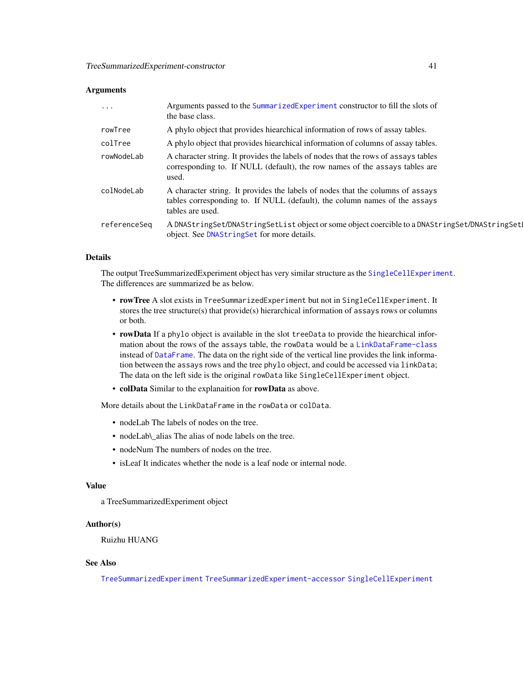#### <span id="page-40-0"></span>**Arguments**

| .            | Arguments passed to the SummarizedExperiment constructor to fill the slots of<br>the base class.                                                                                 |
|--------------|----------------------------------------------------------------------------------------------------------------------------------------------------------------------------------|
| rowTree      | A phylo object that provides hiearchical information of rows of assay tables.                                                                                                    |
| colTree      | A phylo object that provides hiearchical information of columns of assay tables.                                                                                                 |
| rowNodeLab   | A character string. It provides the labels of nodes that the rows of assays tables<br>corresponding to. If NULL (default), the row names of the assays tables are<br>used.       |
| colNodeLab   | A character string. It provides the labels of nodes that the columns of assays<br>tables corresponding to. If NULL (default), the column names of the assays<br>tables are used. |
| referenceSeg | A DNAStringSet/DNAStringSetList object or some object coercible to a DNAStringSet/DNAStringSet<br>object. See DNAString Set for more details.                                    |

#### Details

The output TreeSummarizedExperiment object has very similar structure as the [SingleCellExperiment](#page-0-0). The differences are summarized be as below.

- rowTree A slot exists in TreeSummarizedExperiment but not in SingleCellExperiment. It stores the tree structure(s) that provide(s) hierarchical information of assays rows or columns or both.
- rowData If a phylo object is available in the slot treeData to provide the hiearchical information about the rows of the assays table, the rowData would be a [LinkDataFrame-class](#page-20-2) instead of [DataFrame](#page-0-0). The data on the right side of the vertical line provides the link information between the assays rows and the tree phylo object, and could be accessed via linkData; The data on the left side is the original rowData like SingleCellExperiment object.
- colData Similar to the explanaition for rowData as above.

More details about the LinkDataFrame in the rowData or colData.

- nodeLab The labels of nodes on the tree.
- nodeLab\ alias The alias of node labels on the tree.
- nodeNum The numbers of nodes on the tree.
- isLeaf It indicates whether the node is a leaf node or internal node.

#### Value

a TreeSummarizedExperiment object

#### Author(s)

Ruizhu HUANG

## See Also

[TreeSummarizedExperiment](#page-38-1) [TreeSummarizedExperiment-accessor](#page-26-1) [SingleCellExperiment](#page-0-0)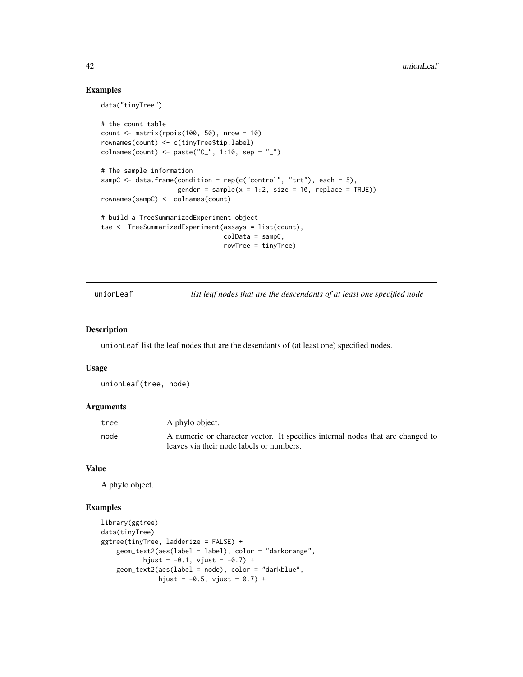## Examples

```
data("tinyTree")
# the count table
count \leq matrix(rpois(100, 50), nrow = 10)
rownames(count) <- c(tinyTree$tip.label)
colnames(count) <- paste("C_", 1:10, sep = "_")
# The sample information
sampC \leq data.frame(condition = rep(c("control", "trt"), each = 5),
                    gender = sample(x = 1:2, size = 10, replace = TRUE))rownames(sampC) <- colnames(count)
# build a TreeSummarizedExperiment object
tse <- TreeSummarizedExperiment(assays = list(count),
                                colData = sampC,rowTree = tinyTree)
```
unionLeaf *list leaf nodes that are the descendants of at least one specified node*

#### Description

unionLeaf list the leaf nodes that are the desendants of (at least one) specified nodes.

#### Usage

unionLeaf(tree, node)

#### Arguments

| tree | A phylo object.                                                                |
|------|--------------------------------------------------------------------------------|
| node | A numeric or character vector. It specifies internal nodes that are changed to |
|      | leaves via their node labels or numbers.                                       |

#### Value

A phylo object.

```
library(ggtree)
data(tinyTree)
ggtree(tinyTree, ladderize = FALSE) +
   geom_text2(aes(label = label), color = "darkorange",
          hjust = -0.1, vjust = -0.7) +
   geom_text2(aes(label = node), color = "darkblue",
              hjust = -0.5, vjust = 0.7) +
```
<span id="page-41-0"></span>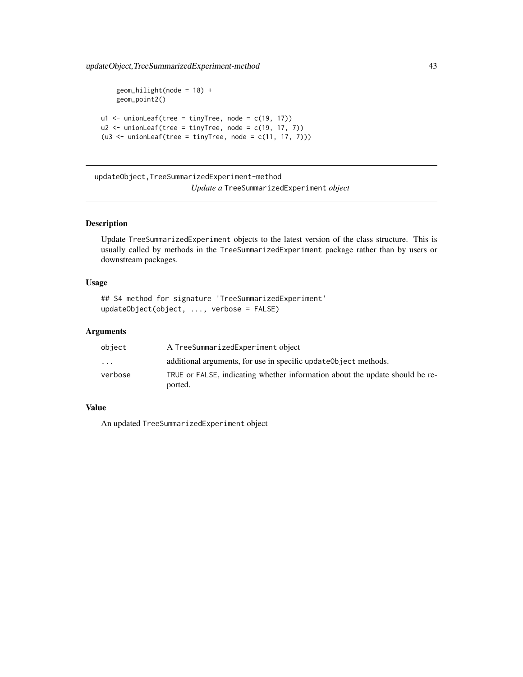<span id="page-42-0"></span>updateObject,TreeSummarizedExperiment-method 43

```
geom\_hilight(node = 18) +geom_point2()
u1 \le unionLeaf(tree = tinyTree, node = c(19, 17))
u2 \leftarrow unionLeaf(tree = tinyTree, node = c(19, 17, 7))
( u3 < - unionLeaf(tree = tinyTree, node = c(11, 17, 7)))
```
updateObject,TreeSummarizedExperiment-method *Update a* TreeSummarizedExperiment *object*

## Description

Update TreeSummarizedExperiment objects to the latest version of the class structure. This is usually called by methods in the TreeSummarizedExperiment package rather than by users or downstream packages.

## Usage

```
## S4 method for signature 'TreeSummarizedExperiment'
updateObject(object, ..., verbose = FALSE)
```
#### Arguments

| object   | A TreeSummarizedExperiment object                                            |
|----------|------------------------------------------------------------------------------|
| $\cdots$ | additional arguments, for use in specific update object methods.             |
| verbose  | TRUE or FALSE, indicating whether information about the update should be re- |
|          | ported.                                                                      |

#### Value

An updated TreeSummarizedExperiment object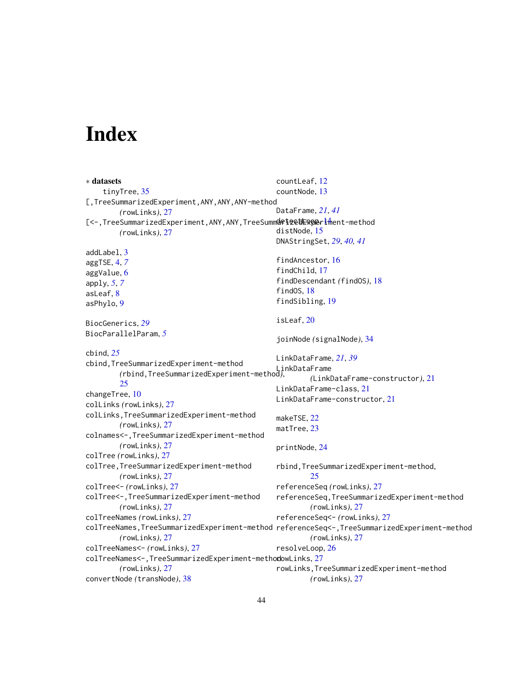# <span id="page-43-0"></span>**Index**

∗ datasets tinyTree, [35](#page-34-0) [,TreeSummarizedExperiment,ANY,ANY,ANY-method *(*rowLinks*)*, [27](#page-26-0) [<-,TreeSummarizedExpe[rim](#page-13-0)ent,ANY,ANY,TreeSumm**d&t@etExperi**fhent-method *(*rowLinks*)*, [27](#page-26-0) addLabel, [3](#page-2-0) aggTSE, [4,](#page-3-0) *[7](#page-6-0)* aggValue, [6](#page-5-0) apply, *[5](#page-4-0)*, *[7](#page-6-0)* asLeaf, [8](#page-7-0) asPhylo, [9](#page-8-0) BiocGenerics, *[29](#page-28-0)* BiocParallelParam, *[5](#page-4-0)* cbind, *[25](#page-24-0)* cbind,TreeSummarizedExperiment-method *(*rbind,TreeSummarizedExperiment-method*)*, LinkDataFrame [25](#page-24-0) changeTree, [10](#page-9-0) colLinks *(*rowLinks*)*, [27](#page-26-0) colLinks,TreeSummarizedExperiment-method *(*rowLinks*)*, [27](#page-26-0) colnames<-,TreeSummarizedExperiment-method *(*rowLinks*)*, [27](#page-26-0) colTree *(*rowLinks*)*, [27](#page-26-0) colTree,TreeSummarizedExperiment-method *(*rowLinks*)*, [27](#page-26-0) colTree<- *(*rowLinks*)*, [27](#page-26-0) colTree<-,TreeSummarizedExperiment-method *(*rowLinks*)*, [27](#page-26-0) colTreeNames *(*rowLinks*)*, [27](#page-26-0) colTreeNames,TreeSummarizedExperiment-method referenceSeq<-,TreeSummarizedExperiment-method *(*rowLinks*)*, [27](#page-26-0) colTreeNames<- *(*rowLinks*)*, [27](#page-26-0) colTreeNames<-,TreeSummarizedExperiment-methodowLinks, [27](#page-26-0) *(*rowLinks*)*, [27](#page-26-0) convertNode *(*transNode*)*, [38](#page-37-0) countLeaf, [12](#page-11-0) countNode, [13](#page-12-0) DataFrame, *[21](#page-20-0)*, *[41](#page-40-0)* distNode, [15](#page-14-0) DNAStringSet, *[29](#page-28-0)*, *[40,](#page-39-0) [41](#page-40-0)* findAncestor, [16](#page-15-0) findChild, [17](#page-16-0) findDescendant *(*findOS*)*, [18](#page-17-0) findOS, [18](#page-17-0) findSibling, [19](#page-18-0) isLeaf, [20](#page-19-0) joinNode *(*signalNode*)*, [34](#page-33-0) LinkDataFrame, *[21](#page-20-0)*, *[39](#page-38-0) (*LinkDataFrame-constructor*)*, [21](#page-20-0) LinkDataFrame-class, [21](#page-20-0) LinkDataFrame-constructor, [21](#page-20-0) makeTSE, [22](#page-21-0) matTree, [23](#page-22-0) printNode, [24](#page-23-0) rbind,TreeSummarizedExperiment-method, [25](#page-24-0) referenceSeq *(*rowLinks*)*, [27](#page-26-0) referenceSeq,TreeSummarizedExperiment-method *(*rowLinks*)*, [27](#page-26-0) referenceSeq<- *(*rowLinks*)*, [27](#page-26-0) *(*rowLinks*)*, [27](#page-26-0) resolveLoop, [26](#page-25-0) rowLinks,TreeSummarizedExperiment-method *(*rowLinks*)*, [27](#page-26-0)